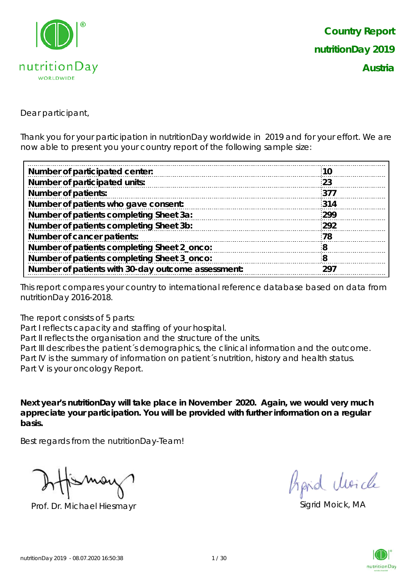

Dear participant,

Thank you for your participation in nutritionDay worldwide in 2019 and for your effort. We are now able to present you your country report of the following sample size:

| 10  |
|-----|
| 23  |
| 377 |
| 314 |
| 299 |
| 292 |
| 78  |
| 8   |
| 8   |
| 297 |
|     |

This report compares your country to international reference database based on data from nutritionDay 2016-2018.

The report consists of 5 parts:

Part I reflects capacity and staffing of your hospital.

Part II reflects the organisation and the structure of the units.

Part III describes the patient's demographics, the clinical information and the outcome. Part IV is the summary of information on patient´s nutrition, history and health status. Part V is your oncology Report.

**Next year's nutritionDay will take place in November 2020. Again, we would very much appreciate your participation. You will be provided with further information on a regular basis.**

Best regards from the nutritionDay-Team!

Prof. Dr. Michael Hiesmayr Sigrid Moick, MA

fipid Moich

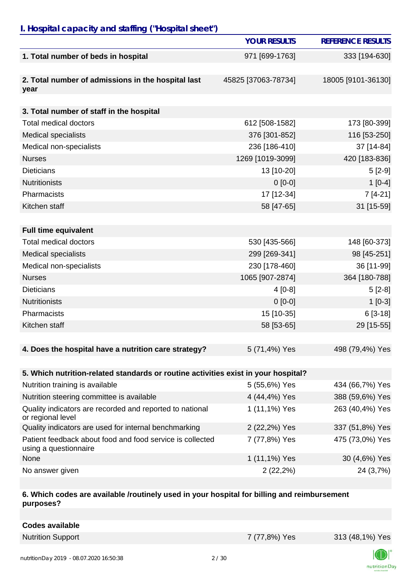# *I. Hospital capacity and staffing ("Hospital sheet")*

|                                                                                    | <b>YOUR RESULTS</b> | <b>REFERENCE RESULTS</b> |
|------------------------------------------------------------------------------------|---------------------|--------------------------|
| 1. Total number of beds in hospital                                                | 971 [699-1763]      | 333 [194-630]            |
|                                                                                    |                     |                          |
| 2. Total number of admissions in the hospital last<br>year                         | 45825 [37063-78734] | 18005 [9101-36130]       |
|                                                                                    |                     |                          |
| 3. Total number of staff in the hospital                                           |                     |                          |
| <b>Total medical doctors</b>                                                       | 612 [508-1582]      | 173 [80-399]             |
| <b>Medical specialists</b>                                                         | 376 [301-852]       | 116 [53-250]             |
| Medical non-specialists                                                            | 236 [186-410]       | 37 [14-84]               |
| <b>Nurses</b>                                                                      | 1269 [1019-3099]    | 420 [183-836]            |
| <b>Dieticians</b>                                                                  | 13 [10-20]          | $5[2-9]$                 |
| <b>Nutritionists</b>                                                               | $0[0-0]$            | $1[0-4]$                 |
| Pharmacists                                                                        | 17 [12-34]          | $7[4-21]$                |
| Kitchen staff                                                                      | 58 [47-65]          | 31 [15-59]               |
|                                                                                    |                     |                          |
| <b>Full time equivalent</b>                                                        |                     |                          |
| <b>Total medical doctors</b>                                                       | 530 [435-566]       | 148 [60-373]             |
| <b>Medical specialists</b>                                                         | 299 [269-341]       | 98 [45-251]              |
| Medical non-specialists                                                            | 230 [178-460]       | 36 [11-99]               |
| <b>Nurses</b>                                                                      | 1065 [907-2874]     | 364 [180-788]            |
| <b>Dieticians</b>                                                                  | $4[0-8]$            | $5[2-8]$                 |
| <b>Nutritionists</b>                                                               | $0[0-0]$            | $1[0-3]$                 |
| Pharmacists                                                                        | 15 [10-35]          | $6[3-18]$                |
| Kitchen staff                                                                      | 58 [53-65]          | 29 [15-55]               |
|                                                                                    |                     |                          |
| 4. Does the hospital have a nutrition care strategy?                               | 5 (71,4%) Yes       | 498 (79,4%) Yes          |
|                                                                                    |                     |                          |
| 5. Which nutrition-related standards or routine activities exist in your hospital? |                     |                          |
| Nutrition training is available                                                    | 5 (55,6%) Yes       | 434 (66,7%) Yes          |
| Nutrition steering committee is available                                          | 4 (44,4%) Yes       | 388 (59,6%) Yes          |
| Quality indicators are recorded and reported to national<br>or regional level      | 1 (11,1%) Yes       | 263 (40,4%) Yes          |
| Quality indicators are used for internal benchmarking                              | 2 (22,2%) Yes       | 337 (51,8%) Yes          |
| Patient feedback about food and food service is collected<br>using a questionnaire | 7 (77,8%) Yes       | 475 (73,0%) Yes          |
| None                                                                               | 1 (11,1%) Yes       | 30 (4,6%) Yes            |
| No answer given                                                                    | $2(22,2\%)$         | 24 (3,7%)                |

#### **6. Which codes are available /routinely used in your hospital for billing and reimbursement purposes?**

| <b>Codes available</b> |
|------------------------|
|------------------------|

Nutrition Support 7 (77,8%) Yes 313 (48,1%) Yes

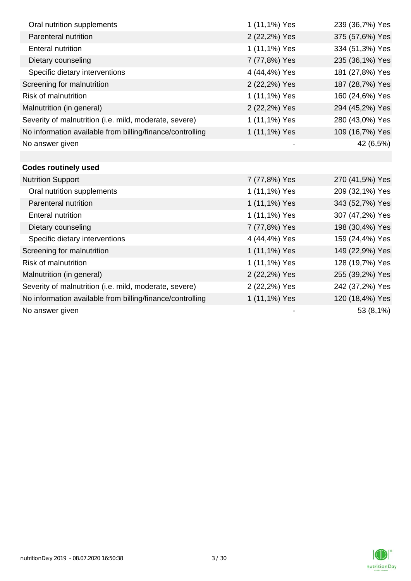| Oral nutrition supplements                                | 1 (11,1%) Yes | 239 (36,7%) Yes |
|-----------------------------------------------------------|---------------|-----------------|
| Parenteral nutrition                                      | 2 (22,2%) Yes | 375 (57,6%) Yes |
| <b>Enteral nutrition</b>                                  | 1 (11,1%) Yes | 334 (51,3%) Yes |
| Dietary counseling                                        | 7 (77,8%) Yes | 235 (36,1%) Yes |
| Specific dietary interventions                            | 4 (44,4%) Yes | 181 (27,8%) Yes |
| Screening for malnutrition                                | 2 (22,2%) Yes | 187 (28,7%) Yes |
| <b>Risk of malnutrition</b>                               | 1 (11,1%) Yes | 160 (24,6%) Yes |
| Malnutrition (in general)                                 | 2 (22,2%) Yes | 294 (45,2%) Yes |
| Severity of malnutrition (i.e. mild, moderate, severe)    | 1 (11,1%) Yes | 280 (43,0%) Yes |
| No information available from billing/finance/controlling | 1 (11,1%) Yes | 109 (16,7%) Yes |
| No answer given                                           |               | 42 (6,5%)       |
|                                                           |               |                 |
| <b>Codes routinely used</b>                               |               |                 |
| <b>Nutrition Support</b>                                  | 7 (77,8%) Yes | 270 (41,5%) Yes |
| Oral nutrition supplements                                | 1 (11,1%) Yes | 209 (32,1%) Yes |
| Parenteral nutrition                                      | 1 (11,1%) Yes | 343 (52,7%) Yes |
| <b>Enteral nutrition</b>                                  | 1 (11,1%) Yes | 307 (47,2%) Yes |
| Dietary counseling                                        | 7 (77,8%) Yes | 198 (30,4%) Yes |
| Specific dietary interventions                            | 4 (44,4%) Yes | 159 (24,4%) Yes |
| Screening for malnutrition                                | 1 (11,1%) Yes | 149 (22,9%) Yes |
| <b>Risk of malnutrition</b>                               | 1 (11,1%) Yes | 128 (19,7%) Yes |
| Malnutrition (in general)                                 | 2 (22,2%) Yes | 255 (39,2%) Yes |
| Severity of malnutrition (i.e. mild, moderate, severe)    | 2 (22,2%) Yes | 242 (37,2%) Yes |
| No information available from billing/finance/controlling | 1 (11,1%) Yes | 120 (18,4%) Yes |
| No answer given                                           |               | 53 (8,1%)       |

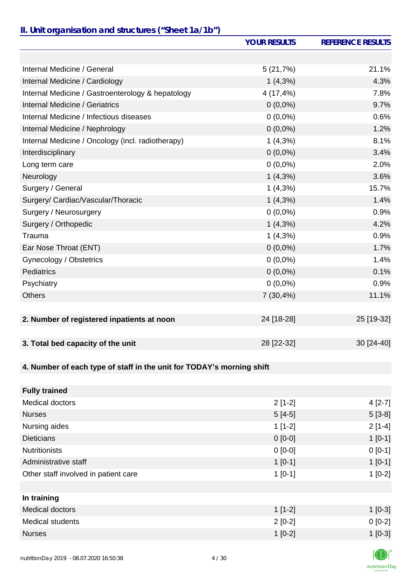### *II. Unit organisation and structures ("Sheet 1a/1b")*

|                                                                       | <b>YOUR RESULTS</b> | <b>REFERENCE RESULTS</b> |
|-----------------------------------------------------------------------|---------------------|--------------------------|
|                                                                       |                     |                          |
| Internal Medicine / General                                           | 5(21,7%)            | 21.1%                    |
| Internal Medicine / Cardiology                                        | $1(4,3\%)$          | 4.3%                     |
| Internal Medicine / Gastroenterology & hepatology                     | 4 (17,4%)           | 7.8%                     |
| <b>Internal Medicine / Geriatrics</b>                                 | $0(0,0\%)$          | 9.7%                     |
| Internal Medicine / Infectious diseases                               | $0(0,0\%)$          | 0.6%                     |
| Internal Medicine / Nephrology                                        | $0(0,0\%)$          | 1.2%                     |
| Internal Medicine / Oncology (incl. radiotherapy)                     | $1(4,3\%)$          | 8.1%                     |
| Interdisciplinary                                                     | $0(0,0\%)$          | 3.4%                     |
| Long term care                                                        | $0(0,0\%)$          | 2.0%                     |
| Neurology                                                             | $1(4,3\%)$          | 3.6%                     |
| Surgery / General                                                     | $1(4,3\%)$          | 15.7%                    |
| Surgery/ Cardiac/Vascular/Thoracic                                    | $1(4,3\%)$          | 1.4%                     |
| Surgery / Neurosurgery                                                | $0(0,0\%)$          | 0.9%                     |
| Surgery / Orthopedic                                                  | $1(4,3\%)$          | 4.2%                     |
| Trauma                                                                | $1(4,3\%)$          | 0.9%                     |
| Ear Nose Throat (ENT)                                                 | $0(0,0\%)$          | 1.7%                     |
| Gynecology / Obstetrics                                               | $0(0,0\%)$          | 1.4%                     |
| <b>Pediatrics</b>                                                     | $0(0,0\%)$          | 0.1%                     |
| Psychiatry                                                            | $0(0,0\%)$          | 0.9%                     |
| <b>Others</b>                                                         | 7(30,4%)            | 11.1%                    |
|                                                                       |                     |                          |
| 2. Number of registered inpatients at noon                            | 24 [18-28]          | 25 [19-32]               |
|                                                                       |                     |                          |
| 3. Total bed capacity of the unit                                     | 28 [22-32]          | 30 [24-40]               |
|                                                                       |                     |                          |
| 4. Number of each type of staff in the unit for TODAY's morning shift |                     |                          |
|                                                                       |                     |                          |
| <b>Fully trained</b>                                                  |                     |                          |
| <b>Medical doctors</b>                                                | $2[1-2]$            | $4[2-7]$                 |
| <b>Nurses</b>                                                         | $5[4-5]$            | $5[3-8]$                 |
| Nursing aides                                                         | $1[1-2]$            | $2[1-4]$                 |
| <b>Dieticians</b>                                                     | $0 [0-0]$           | $1[0-1]$                 |
| <b>Nutritionists</b>                                                  | $0[0-0]$            | $0[0-1]$                 |
| Administrative staff                                                  | $1[0-1]$            | $1[0-1]$                 |
| Other staff involved in patient care                                  | $1[0-1]$            | $1[0-2]$                 |
|                                                                       |                     |                          |
| In training                                                           |                     |                          |

| Medical doctors  | $1[1-2]$  | $[0-3]$  |
|------------------|-----------|----------|
| Medical students | $2$ [0-2] | $0[0-2]$ |
| <b>Nurses</b>    | $1$ [0-2] | $1[0-3]$ |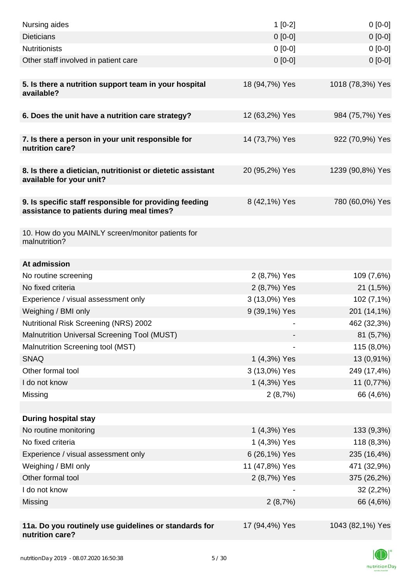| Nursing aides                                                                                       | $1[0-2]$       | $0[0-0]$         |
|-----------------------------------------------------------------------------------------------------|----------------|------------------|
| <b>Dieticians</b>                                                                                   | $0[0-0]$       | $0[0-0]$         |
| <b>Nutritionists</b>                                                                                | $0 [0-0]$      | $0[0-0]$         |
| Other staff involved in patient care                                                                | $0 [0-0]$      | $0[0-0]$         |
| 5. Is there a nutrition support team in your hospital<br>available?                                 | 18 (94,7%) Yes | 1018 (78,3%) Yes |
| 6. Does the unit have a nutrition care strategy?                                                    | 12 (63,2%) Yes | 984 (75,7%) Yes  |
| 7. Is there a person in your unit responsible for<br>nutrition care?                                | 14 (73,7%) Yes | 922 (70,9%) Yes  |
| 8. Is there a dietician, nutritionist or dietetic assistant<br>available for your unit?             | 20 (95,2%) Yes | 1239 (90,8%) Yes |
| 9. Is specific staff responsible for providing feeding<br>assistance to patients during meal times? | 8 (42,1%) Yes  | 780 (60,0%) Yes  |
| 10. How do you MAINLY screen/monitor patients for<br>malnutrition?                                  |                |                  |
| At admission                                                                                        |                |                  |
| No routine screening                                                                                | 2 (8,7%) Yes   | 109 (7,6%)       |
| No fixed criteria                                                                                   | 2 (8,7%) Yes   | 21(1,5%)         |
| Experience / visual assessment only                                                                 | 3 (13,0%) Yes  | 102 (7,1%)       |
| Weighing / BMI only                                                                                 | 9 (39,1%) Yes  | 201 (14,1%)      |
| Nutritional Risk Screening (NRS) 2002                                                               |                | 462 (32,3%)      |
| Malnutrition Universal Screening Tool (MUST)                                                        |                | 81 (5,7%)        |
| Malnutrition Screening tool (MST)                                                                   |                | 115 (8,0%)       |
| <b>SNAQ</b>                                                                                         | 1 (4,3%) Yes   | 13 (0,91%)       |
| Other formal tool                                                                                   | 3 (13,0%) Yes  | 249 (17,4%)      |
| I do not know                                                                                       | 1 (4,3%) Yes   | 11 (0,77%)       |
| Missing                                                                                             | 2(8,7%)        | 66 (4,6%)        |
|                                                                                                     |                |                  |
| <b>During hospital stay</b>                                                                         |                |                  |
| No routine monitoring                                                                               | 1 (4,3%) Yes   | 133 (9,3%)       |
| No fixed criteria                                                                                   | 1 (4,3%) Yes   | 118 (8,3%)       |
| Experience / visual assessment only                                                                 | 6 (26,1%) Yes  | 235 (16,4%)      |
| Weighing / BMI only                                                                                 | 11 (47,8%) Yes | 471 (32,9%)      |
| Other formal tool                                                                                   | 2 (8,7%) Yes   | 375 (26,2%)      |
| I do not know                                                                                       |                | $32(2,2\%)$      |
| Missing                                                                                             | 2(8,7%)        | 66 (4,6%)        |
|                                                                                                     |                |                  |
| 11a. Do you routinely use guidelines or standards for<br>nutrition care?                            | 17 (94,4%) Yes | 1043 (82,1%) Yes |

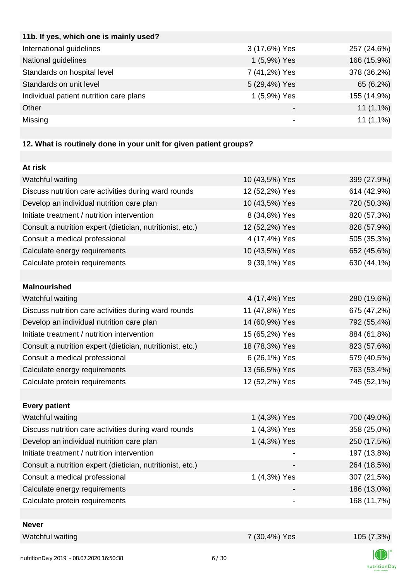| 11b. If yes, which one is mainly used?  |               |             |
|-----------------------------------------|---------------|-------------|
| International guidelines                | 3 (17,6%) Yes | 257 (24,6%) |
| National guidelines                     | 1 (5,9%) Yes  | 166 (15,9%) |
| Standards on hospital level             | 7 (41,2%) Yes | 378 (36,2%) |
| Standards on unit level                 | 5 (29,4%) Yes | 65 (6,2%)   |
| Individual patient nutrition care plans | 1 (5,9%) Yes  | 155 (14,9%) |
| Other                                   | -             | $11(1,1\%)$ |
| Missing                                 |               | $11(1,1\%)$ |
|                                         |               |             |

## **12. What is routinely done in your unit for given patient groups?**

| At risk                                                    |                |             |
|------------------------------------------------------------|----------------|-------------|
| Watchful waiting                                           | 10 (43,5%) Yes | 399 (27,9%) |
| Discuss nutrition care activities during ward rounds       | 12 (52,2%) Yes | 614 (42,9%) |
| Develop an individual nutrition care plan                  | 10 (43,5%) Yes | 720 (50,3%) |
| Initiate treatment / nutrition intervention                | 8 (34,8%) Yes  | 820 (57,3%) |
| Consult a nutrition expert (dietician, nutritionist, etc.) | 12 (52,2%) Yes | 828 (57,9%) |
| Consult a medical professional                             | 4 (17,4%) Yes  | 505 (35,3%) |
| Calculate energy requirements                              | 10 (43,5%) Yes | 652 (45,6%) |
| Calculate protein requirements                             | 9 (39,1%) Yes  | 630 (44,1%) |
|                                                            |                |             |
| <b>Malnourished</b>                                        |                |             |
| Watchful waiting                                           | 4 (17,4%) Yes  | 280 (19,6%) |
| Discuss nutrition care activities during ward rounds       | 11 (47,8%) Yes | 675 (47,2%) |
| Develop an individual nutrition care plan                  | 14 (60,9%) Yes | 792 (55,4%) |
| Initiate treatment / nutrition intervention                | 15 (65,2%) Yes | 884 (61,8%) |
| Consult a nutrition expert (dietician, nutritionist, etc.) | 18 (78,3%) Yes | 823 (57,6%) |
| Consult a medical professional                             | 6 (26,1%) Yes  | 579 (40,5%) |
| Calculate energy requirements                              | 13 (56,5%) Yes | 763 (53,4%) |
| Calculate protein requirements                             | 12 (52,2%) Yes | 745 (52,1%) |
|                                                            |                |             |
| <b>Every patient</b>                                       |                |             |
| Watchful waiting                                           | 1 (4,3%) Yes   | 700 (49,0%) |
| Discuss nutrition care activities during ward rounds       | 1 (4,3%) Yes   | 358 (25,0%) |
| Develop an individual nutrition care plan                  | 1 (4,3%) Yes   | 250 (17,5%) |
| Initiate treatment / nutrition intervention                |                | 197 (13,8%) |
| Consult a nutrition expert (dietician, nutritionist, etc.) |                | 264 (18,5%) |
| Consult a medical professional                             | 1 (4,3%) Yes   | 307 (21,5%) |
| Calculate energy requirements                              |                | 186 (13,0%) |
| Calculate protein requirements                             |                | 168 (11,7%) |
|                                                            |                |             |
| <b>Never</b>                                               |                |             |

Watchful waiting 7 (30,4%) Yes 105 (7,3%)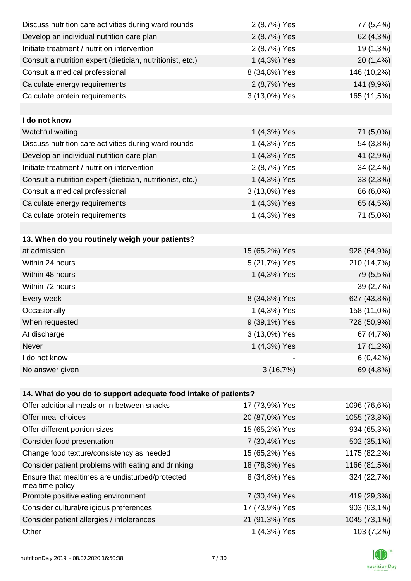| Discuss nutrition care activities during ward rounds               | 2 (8,7%) Yes   | 77 (5,4%)    |
|--------------------------------------------------------------------|----------------|--------------|
| Develop an individual nutrition care plan                          | 2 (8,7%) Yes   | 62 (4,3%)    |
| Initiate treatment / nutrition intervention                        | 2 (8,7%) Yes   | 19 (1,3%)    |
| Consult a nutrition expert (dietician, nutritionist, etc.)         | 1 (4,3%) Yes   | 20 (1,4%)    |
| Consult a medical professional                                     | 8 (34,8%) Yes  | 146 (10,2%)  |
| Calculate energy requirements                                      | 2 (8,7%) Yes   | 141 (9,9%)   |
| Calculate protein requirements                                     | 3 (13,0%) Yes  | 165 (11,5%)  |
|                                                                    |                |              |
| I do not know                                                      |                |              |
| Watchful waiting                                                   | 1 (4,3%) Yes   | 71 (5,0%)    |
| Discuss nutrition care activities during ward rounds               | 1 (4,3%) Yes   | 54 (3,8%)    |
| Develop an individual nutrition care plan                          | 1 (4,3%) Yes   | 41 (2,9%)    |
| Initiate treatment / nutrition intervention                        | 2 (8,7%) Yes   | 34 (2,4%)    |
| Consult a nutrition expert (dietician, nutritionist, etc.)         | 1 (4,3%) Yes   | 33(2,3%)     |
| Consult a medical professional                                     | 3 (13,0%) Yes  | 86 (6,0%)    |
| Calculate energy requirements                                      | 1 (4,3%) Yes   | 65 (4,5%)    |
| Calculate protein requirements                                     | 1 (4,3%) Yes   | 71 (5,0%)    |
|                                                                    |                |              |
| 13. When do you routinely weigh your patients?                     |                |              |
| at admission                                                       | 15 (65,2%) Yes | 928 (64,9%)  |
| Within 24 hours                                                    | 5 (21,7%) Yes  | 210 (14,7%)  |
| Within 48 hours                                                    | 1 (4,3%) Yes   | 79 (5,5%)    |
| Within 72 hours                                                    |                | 39 (2,7%)    |
| Every week                                                         | 8 (34,8%) Yes  | 627 (43,8%)  |
| Occasionally                                                       | 1 (4,3%) Yes   | 158 (11,0%)  |
| When requested                                                     | 9 (39,1%) Yes  | 728 (50,9%)  |
| At discharge                                                       | 3 (13,0%) Yes  | 67 (4,7%)    |
| Never                                                              | 1 (4,3%) Yes   | $17(1,2\%)$  |
| I do not know                                                      |                | 6(0,42%)     |
| No answer given                                                    | 3(16,7%)       | 69 (4,8%)    |
|                                                                    |                |              |
| 14. What do you do to support adequate food intake of patients?    |                |              |
| Offer additional meals or in between snacks                        | 17 (73,9%) Yes | 1096 (76,6%) |
| Offer meal choices                                                 | 20 (87,0%) Yes | 1055 (73,8%) |
| Offer different portion sizes                                      | 15 (65,2%) Yes | 934 (65,3%)  |
| Consider food presentation                                         | 7 (30,4%) Yes  | 502 (35,1%)  |
| Change food texture/consistency as needed                          | 15 (65,2%) Yes | 1175 (82,2%) |
| Consider patient problems with eating and drinking                 | 18 (78,3%) Yes | 1166 (81,5%) |
| Ensure that mealtimes are undisturbed/protected<br>mealtime policy | 8 (34,8%) Yes  | 324 (22,7%)  |
| Promote positive eating environment                                | 7 (30,4%) Yes  | 419 (29,3%)  |
| Consider cultural/religious preferences                            | 17 (73,9%) Yes | 903 (63,1%)  |
| Consider patient allergies / intolerances                          | 21 (91,3%) Yes | 1045 (73,1%) |
| Other                                                              | 1 (4,3%) Yes   | 103 (7,2%)   |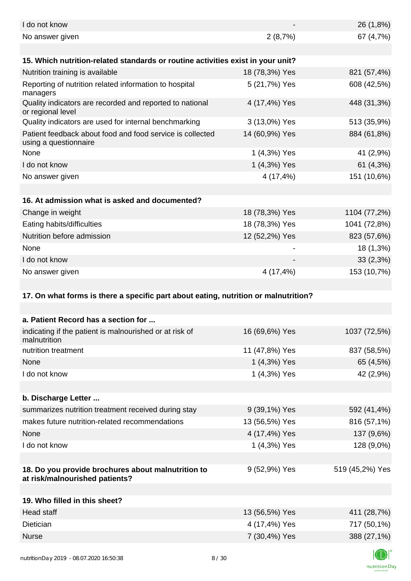| I do not know                                                                        |                | 26 (1,8%)       |
|--------------------------------------------------------------------------------------|----------------|-----------------|
| No answer given                                                                      | 2(8,7%)        | 67 (4,7%)       |
| 15. Which nutrition-related standards or routine activities exist in your unit?      |                |                 |
| Nutrition training is available                                                      | 18 (78,3%) Yes | 821 (57,4%)     |
| Reporting of nutrition related information to hospital<br>managers                   | 5 (21,7%) Yes  | 608 (42,5%)     |
| Quality indicators are recorded and reported to national<br>or regional level        | 4 (17,4%) Yes  | 448 (31,3%)     |
| Quality indicators are used for internal benchmarking                                | 3 (13,0%) Yes  | 513 (35,9%)     |
| Patient feedback about food and food service is collected<br>using a questionnaire   | 14 (60,9%) Yes | 884 (61,8%)     |
| None                                                                                 | 1 (4,3%) Yes   | 41 (2,9%)       |
| I do not know                                                                        | 1 (4,3%) Yes   | 61 (4,3%)       |
| No answer given                                                                      | 4 (17,4%)      | 151 (10,6%)     |
|                                                                                      |                |                 |
| 16. At admission what is asked and documented?                                       |                |                 |
| Change in weight                                                                     | 18 (78,3%) Yes | 1104 (77,2%)    |
| Eating habits/difficulties                                                           | 18 (78,3%) Yes | 1041 (72,8%)    |
| Nutrition before admission                                                           | 12 (52,2%) Yes | 823 (57,6%)     |
| None                                                                                 |                | 18 (1,3%)       |
| I do not know                                                                        |                | 33(2,3%)        |
| No answer given                                                                      | 4 (17,4%)      | 153 (10,7%)     |
|                                                                                      |                |                 |
| 17. On what forms is there a specific part about eating, nutrition or malnutrition?  |                |                 |
|                                                                                      |                |                 |
| a. Patient Record has a section for                                                  |                |                 |
| indicating if the patient is malnourished or at risk of<br>malnutrition              | 16 (69,6%) Yes | 1037 (72,5%)    |
| nutrition treatment                                                                  | 11 (47,8%) Yes | 837 (58,5%)     |
| None                                                                                 | 1 (4,3%) Yes   | 65 (4,5%)       |
| I do not know                                                                        | 1 (4,3%) Yes   | 42 (2,9%)       |
|                                                                                      |                |                 |
| b. Discharge Letter                                                                  |                |                 |
| summarizes nutrition treatment received during stay                                  | 9 (39,1%) Yes  | 592 (41,4%)     |
| makes future nutrition-related recommendations                                       | 13 (56,5%) Yes | 816 (57,1%)     |
| None                                                                                 | 4 (17,4%) Yes  | 137 (9,6%)      |
| I do not know                                                                        | 1 (4,3%) Yes   | 128 (9,0%)      |
| 18. Do you provide brochures about malnutrition to<br>at risk/malnourished patients? | 9 (52,9%) Yes  | 519 (45,2%) Yes |
| 19. Who filled in this sheet?                                                        |                |                 |
| <b>Head staff</b>                                                                    | 13 (56,5%) Yes | 411 (28,7%)     |
| Dietician                                                                            | 4 (17,4%) Yes  | 717 (50,1%)     |
| <b>Nurse</b>                                                                         | 7 (30,4%) Yes  | 388 (27,1%)     |
|                                                                                      |                |                 |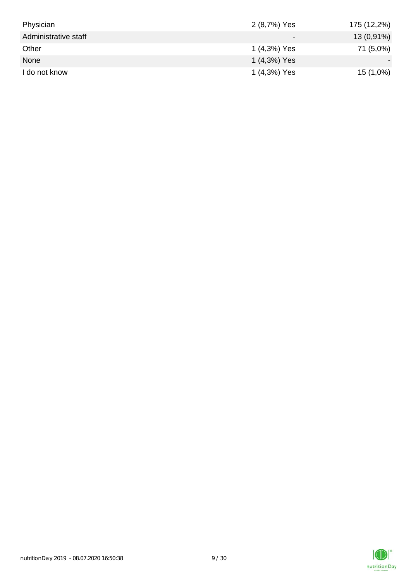| Physician            | 2 (8,7%) Yes | 175 (12,2%) |
|----------------------|--------------|-------------|
| Administrative staff |              | 13 (0,91%)  |
| Other                | 1 (4,3%) Yes | 71 (5,0%)   |
| None                 | 1 (4,3%) Yes |             |
| I do not know        | 1 (4,3%) Yes | $15(1,0\%)$ |

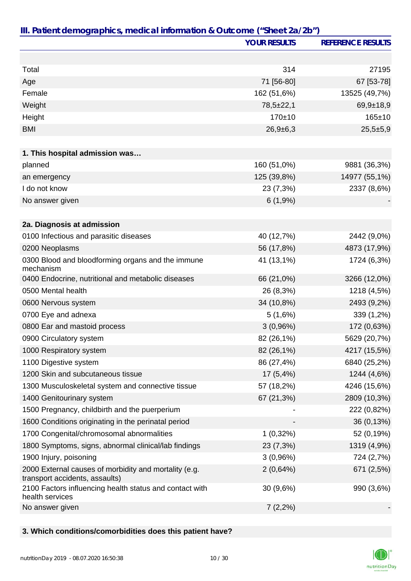|                                                                                         | <b>YOUR RESULTS</b> | <b>REFERENCE RESULTS</b> |
|-----------------------------------------------------------------------------------------|---------------------|--------------------------|
|                                                                                         |                     |                          |
| Total                                                                                   | 314                 | 27195                    |
| Age                                                                                     | 71 [56-80]          | 67 [53-78]               |
| Female                                                                                  | 162 (51,6%)         | 13525 (49,7%)            |
| Weight                                                                                  | $78,5 \pm 22,1$     | $69,9+18,9$              |
| Height                                                                                  | 170±10              | $165 \pm 10$             |
| <b>BMI</b>                                                                              | $26,9+6,3$          | $25,5+5,9$               |
|                                                                                         |                     |                          |
| 1. This hospital admission was                                                          |                     |                          |
| planned                                                                                 | 160 (51,0%)         | 9881 (36,3%)             |
| an emergency                                                                            | 125 (39,8%)         | 14977 (55,1%)            |
| I do not know                                                                           | 23 (7,3%)           | 2337 (8,6%)              |
| No answer given                                                                         | 6(1,9%)             |                          |
|                                                                                         |                     |                          |
| 2a. Diagnosis at admission                                                              |                     |                          |
| 0100 Infectious and parasitic diseases                                                  | 40 (12,7%)          | 2442 (9,0%)              |
| 0200 Neoplasms                                                                          | 56 (17,8%)          | 4873 (17,9%)             |
| 0300 Blood and bloodforming organs and the immune<br>mechanism                          | 41 (13,1%)          | 1724 (6,3%)              |
| 0400 Endocrine, nutritional and metabolic diseases                                      | 66 (21,0%)          | 3266 (12,0%)             |
| 0500 Mental health                                                                      | 26 (8,3%)           | 1218 (4,5%)              |
| 0600 Nervous system                                                                     | 34 (10,8%)          | 2493 (9,2%)              |
| 0700 Eye and adnexa                                                                     | 5(1,6%)             | 339 (1,2%)               |
| 0800 Ear and mastoid process                                                            | 3(0,96%)            | 172 (0,63%)              |
| 0900 Circulatory system                                                                 | 82 (26,1%)          | 5629 (20,7%)             |
| 1000 Respiratory system                                                                 | 82 (26,1%)          | 4217 (15,5%)             |
| 1100 Digestive system                                                                   | 86 (27,4%)          | 6840 (25,2%)             |
| 1200 Skin and subcutaneous tissue                                                       | 17(5,4%)            | 1244 (4,6%)              |
| 1300 Musculoskeletal system and connective tissue                                       | 57 (18,2%)          | 4246 (15,6%)             |
| 1400 Genitourinary system                                                               | 67 (21,3%)          | 2809 (10,3%)             |
| 1500 Pregnancy, childbirth and the puerperium                                           |                     | 222 (0,82%)              |
| 1600 Conditions originating in the perinatal period                                     |                     | 36 (0,13%)               |
| 1700 Congenital/chromosomal abnormalities                                               | $1(0,32\%)$         | 52 (0,19%)               |
| 1800 Symptoms, signs, abnormal clinical/lab findings                                    | 23 (7,3%)           | 1319 (4,9%)              |
| 1900 Injury, poisoning                                                                  | 3(0,96%)            | 724 (2,7%)               |
| 2000 External causes of morbidity and mortality (e.g.<br>transport accidents, assaults) | 2(0,64%)            | 671 (2,5%)               |
| 2100 Factors influencing health status and contact with<br>health services              | 30 (9,6%)           | 990 (3,6%)               |
| No answer given                                                                         | $7(2,2\%)$          |                          |

## **3. Which conditions/comorbidities does this patient have?**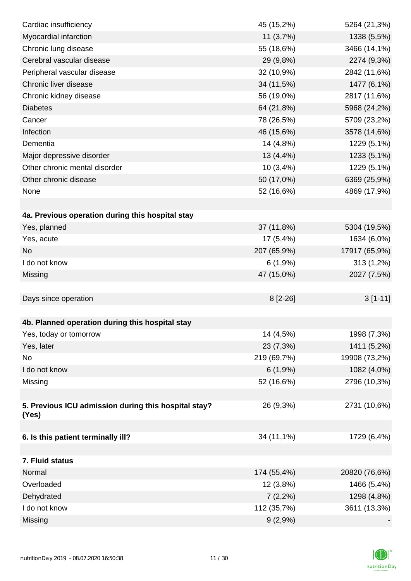| Cardiac insufficiency                                | 45 (15,2%)  | 5264 (21,3%)  |
|------------------------------------------------------|-------------|---------------|
| Myocardial infarction                                | 11 (3,7%)   | 1338 (5,5%)   |
| Chronic lung disease                                 | 55 (18,6%)  | 3466 (14,1%)  |
| Cerebral vascular disease                            | 29 (9,8%)   | 2274 (9,3%)   |
| Peripheral vascular disease                          | 32 (10,9%)  | 2842 (11,6%)  |
| Chronic liver disease                                | 34 (11,5%)  | 1477 (6,1%)   |
| Chronic kidney disease                               | 56 (19,0%)  | 2817 (11,6%)  |
| <b>Diabetes</b>                                      | 64 (21,8%)  | 5968 (24,2%)  |
| Cancer                                               | 78 (26,5%)  | 5709 (23,2%)  |
| Infection                                            | 46 (15,6%)  | 3578 (14,6%)  |
| Dementia                                             | 14 (4,8%)   | 1229 (5,1%)   |
| Major depressive disorder                            | 13 (4,4%)   | 1233 (5,1%)   |
| Other chronic mental disorder                        | 10 (3,4%)   | 1229 (5,1%)   |
| Other chronic disease                                | 50 (17,0%)  | 6369 (25,9%)  |
| None                                                 | 52 (16,6%)  | 4869 (17,9%)  |
|                                                      |             |               |
| 4a. Previous operation during this hospital stay     |             |               |
| Yes, planned                                         | 37 (11,8%)  | 5304 (19,5%)  |
| Yes, acute                                           | 17 (5,4%)   | 1634 (6,0%)   |
| <b>No</b>                                            | 207 (65,9%) | 17917 (65,9%) |
| I do not know                                        | 6(1,9%)     | 313 (1,2%)    |
| Missing                                              | 47 (15,0%)  | 2027 (7,5%)   |
|                                                      |             |               |
| Days since operation                                 | $8[2-26]$   | $3[1-11]$     |
|                                                      |             |               |
| 4b. Planned operation during this hospital stay      |             |               |
| Yes, today or tomorrow                               | 14 (4,5%)   | 1998 (7,3%)   |
| Yes, later                                           | 23 (7,3%)   | 1411 (5,2%)   |
| No                                                   | 219 (69,7%) | 19908 (73,2%) |
| I do not know                                        | 6(1,9%)     | 1082 (4,0%)   |
| Missing                                              | 52 (16,6%)  | 2796 (10,3%)  |
|                                                      |             |               |
| 5. Previous ICU admission during this hospital stay? | 26 (9,3%)   | 2731 (10,6%)  |
| (Yes)                                                |             |               |
| 6. Is this patient terminally ill?                   | 34 (11,1%)  | 1729 (6,4%)   |
|                                                      |             |               |
| 7. Fluid status                                      |             |               |
| Normal                                               | 174 (55,4%) | 20820 (76,6%) |
| Overloaded                                           | 12(3,8%)    | 1466 (5,4%)   |
| Dehydrated                                           | $7(2,2\%)$  | 1298 (4,8%)   |
| I do not know                                        | 112 (35,7%) | 3611 (13,3%)  |
| Missing                                              | $9(2,9\%)$  |               |

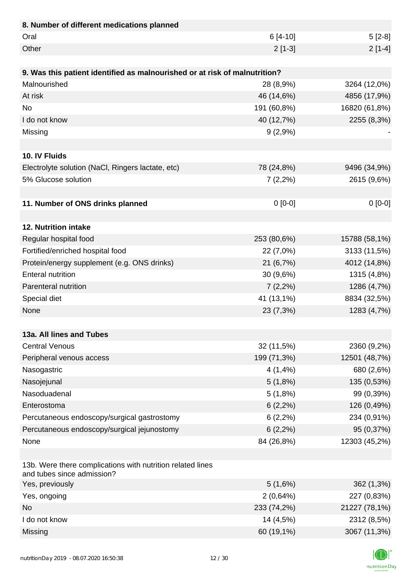| 8. Number of different medications planned                                               |             |               |
|------------------------------------------------------------------------------------------|-------------|---------------|
| Oral                                                                                     | $6[4-10]$   | $5[2-8]$      |
| Other                                                                                    | $2[1-3]$    | $2[1-4]$      |
|                                                                                          |             |               |
| 9. Was this patient identified as malnourished or at risk of malnutrition?               |             |               |
| Malnourished                                                                             | 28 (8,9%)   | 3264 (12,0%)  |
| At risk                                                                                  | 46 (14,6%)  | 4856 (17,9%)  |
| <b>No</b>                                                                                | 191 (60,8%) | 16820 (61,8%) |
| I do not know                                                                            | 40 (12,7%)  | 2255 (8,3%)   |
| Missing                                                                                  | 9(2,9%)     |               |
|                                                                                          |             |               |
| 10. IV Fluids                                                                            |             |               |
| Electrolyte solution (NaCl, Ringers lactate, etc)                                        | 78 (24,8%)  | 9496 (34,9%)  |
| 5% Glucose solution                                                                      | $7(2,2\%)$  | 2615 (9,6%)   |
|                                                                                          |             |               |
| 11. Number of ONS drinks planned                                                         | $0 [0-0]$   | $0[0-0]$      |
|                                                                                          |             |               |
| 12. Nutrition intake                                                                     |             |               |
| Regular hospital food                                                                    | 253 (80,6%) | 15788 (58,1%) |
| Fortified/enriched hospital food                                                         | 22 (7,0%)   | 3133 (11,5%)  |
| Protein/energy supplement (e.g. ONS drinks)                                              | 21 (6,7%)   | 4012 (14,8%)  |
| <b>Enteral nutrition</b>                                                                 | 30(9,6%)    | 1315 (4,8%)   |
| Parenteral nutrition                                                                     | $7(2,2\%)$  | 1286 (4,7%)   |
| Special diet                                                                             | 41 (13,1%)  | 8834 (32,5%)  |
| None                                                                                     | 23 (7,3%)   | 1283 (4,7%)   |
|                                                                                          |             |               |
| 13a. All lines and Tubes                                                                 |             |               |
| <b>Central Venous</b>                                                                    | 32 (11,5%)  | 2360 (9,2%)   |
| Peripheral venous access                                                                 | 199 (71,3%) | 12501 (48,7%) |
| Nasogastric                                                                              | 4(1,4%      | 680 (2,6%)    |
| Nasojejunal                                                                              | 5(1,8%)     | 135 (0,53%)   |
| Nasoduadenal                                                                             | 5(1,8%)     | 99 (0,39%)    |
| Enterostoma                                                                              | $6(2,2\%)$  | 126 (0,49%)   |
| Percutaneous endoscopy/surgical gastrostomy                                              | 6(2,2%)     | 234 (0,91%)   |
| Percutaneous endoscopy/surgical jejunostomy                                              | $6(2,2\%)$  | 95 (0,37%)    |
| None                                                                                     | 84 (26,8%)  | 12303 (45,2%) |
|                                                                                          |             |               |
| 13b. Were there complications with nutrition related lines<br>and tubes since admission? |             |               |
| Yes, previously                                                                          | 5(1,6%)     | 362 (1,3%)    |
| Yes, ongoing                                                                             | 2(0,64%)    | 227 (0,83%)   |
| <b>No</b>                                                                                | 233 (74,2%) | 21227 (78,1%) |
| I do not know                                                                            | 14 (4,5%)   | 2312 (8,5%)   |
| Missing                                                                                  | 60 (19,1%)  | 3067 (11,3%)  |

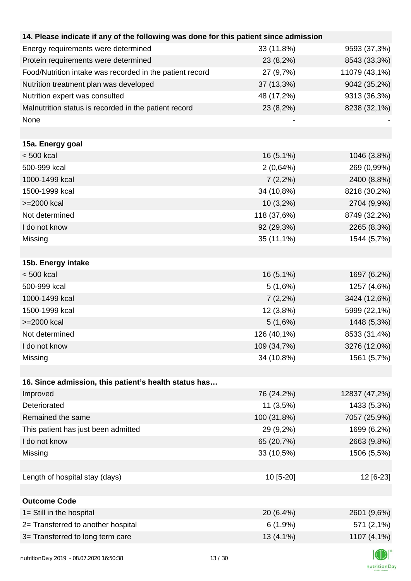| 14. Please indicate if any of the following was done for this patient since admission |             |               |
|---------------------------------------------------------------------------------------|-------------|---------------|
| Energy requirements were determined                                                   | 33 (11,8%)  | 9593 (37,3%)  |
| Protein requirements were determined                                                  | 23 (8,2%)   | 8543 (33,3%)  |
| Food/Nutrition intake was recorded in the patient record                              | 27 (9,7%)   | 11079 (43,1%) |
| Nutrition treatment plan was developed                                                | 37 (13,3%)  | 9042 (35,2%)  |
| Nutrition expert was consulted                                                        | 48 (17,2%)  | 9313 (36,3%)  |
| Malnutrition status is recorded in the patient record                                 | 23 (8,2%)   | 8238 (32,1%)  |
| None                                                                                  |             |               |
|                                                                                       |             |               |
| 15a. Energy goal                                                                      |             |               |
| < 500 kcal                                                                            | 16 (5,1%)   | 1046 (3,8%)   |
| 500-999 kcal                                                                          | 2(0,64%)    | 269 (0,99%)   |
| 1000-1499 kcal                                                                        | $7(2,2\%)$  | 2400 (8,8%)   |
| 1500-1999 kcal                                                                        | 34 (10,8%)  | 8218 (30,2%)  |
| >=2000 kcal                                                                           | $10(3,2\%)$ | 2704 (9,9%)   |
| Not determined                                                                        | 118 (37,6%) | 8749 (32,2%)  |
| I do not know                                                                         | 92 (29,3%)  | 2265 (8,3%)   |
| Missing                                                                               | 35 (11,1%)  | 1544 (5,7%)   |
|                                                                                       |             |               |
| 15b. Energy intake                                                                    |             |               |
| < 500 kcal                                                                            | $16(5,1\%)$ | 1697 (6,2%)   |
| 500-999 kcal                                                                          | 5(1,6%)     | 1257 (4,6%)   |
| 1000-1499 kcal                                                                        | $7(2,2\%)$  | 3424 (12,6%)  |
| 1500-1999 kcal                                                                        | 12 (3,8%)   | 5999 (22,1%)  |
| >=2000 kcal                                                                           | 5(1,6%)     | 1448 (5,3%)   |
| Not determined                                                                        | 126 (40,1%) | 8533 (31,4%)  |
| I do not know                                                                         | 109 (34,7%) | 3276 (12,0%)  |
| Missing                                                                               | 34 (10,8%)  | 1561 (5,7%)   |
|                                                                                       |             |               |
| 16. Since admission, this patient's health status has                                 |             |               |
| Improved                                                                              | 76 (24,2%)  | 12837 (47,2%) |
| Deteriorated                                                                          | $11(3,5\%)$ | 1433 (5,3%)   |
| Remained the same                                                                     | 100 (31,8%) | 7057 (25,9%)  |
| This patient has just been admitted                                                   | 29 (9,2%)   | 1699 (6,2%)   |
| I do not know                                                                         | 65 (20,7%)  | 2663 (9,8%)   |
| Missing                                                                               | 33 (10,5%)  | 1506 (5,5%)   |
|                                                                                       |             |               |
| Length of hospital stay (days)                                                        | 10 [5-20]   | 12 [6-23]     |
|                                                                                       |             |               |
| <b>Outcome Code</b>                                                                   |             |               |
| 1= Still in the hospital                                                              | 20 (6,4%)   | 2601 (9,6%)   |
| 2= Transferred to another hospital                                                    | 6(1,9%)     | 571 (2,1%)    |
| 3= Transferred to long term care                                                      | $13(4,1\%)$ | 1107 (4,1%)   |
|                                                                                       |             |               |

K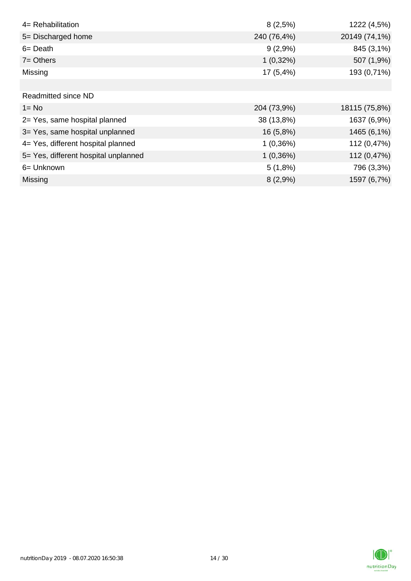| 4= Rehabilitation                    | 8(2,5%)     | 1222 (4,5%)   |
|--------------------------------------|-------------|---------------|
| 5= Discharged home                   | 240 (76,4%) | 20149 (74,1%) |
| $6 = Death$                          | $9(2,9\%)$  | 845 (3,1%)    |
| $7 = Others$                         | $1(0,32\%)$ | 507 (1,9%)    |
| Missing                              | 17 (5,4%)   | 193 (0,71%)   |
|                                      |             |               |
| <b>Readmitted since ND</b>           |             |               |
| $1 = No$                             | 204 (73,9%) | 18115 (75,8%) |
| 2= Yes, same hospital planned        | 38 (13,8%)  | 1637 (6,9%)   |
| 3= Yes, same hospital unplanned      | 16 (5,8%)   | 1465 (6,1%)   |
| 4= Yes, different hospital planned   | 1(0,36%)    | 112 (0,47%)   |
| 5= Yes, different hospital unplanned | 1(0,36%)    | 112 (0,47%)   |
| 6= Unknown                           | 5(1,8%)     | 796 (3,3%)    |
| <b>Missing</b>                       | 8(2,9%)     | 1597 (6,7%)   |

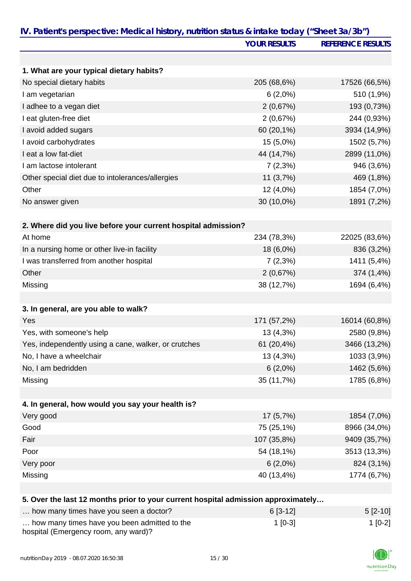| IV. Patient's perspective: Medical history, nutrition status & intake today ("Sheet 3a/3b") | <b>YOUR RESULTS</b> | <b>REFERENCE RESULTS</b> |
|---------------------------------------------------------------------------------------------|---------------------|--------------------------|
|                                                                                             |                     |                          |
|                                                                                             |                     |                          |
| 1. What are your typical dietary habits?                                                    |                     |                          |
| No special dietary habits                                                                   | 205 (68,6%)         | 17526 (66,5%)            |
| I am vegetarian                                                                             | $6(2,0\%)$          | 510 (1,9%)               |
| I adhee to a vegan diet                                                                     | 2(0,67%)            | 193 (0,73%)              |
| I eat gluten-free diet                                                                      | 2(0,67%)            | 244 (0,93%)              |
| I avoid added sugars                                                                        | 60 (20,1%)          | 3934 (14,9%)             |
| I avoid carbohydrates                                                                       | 15 (5,0%)           | 1502 (5,7%)              |
| I eat a low fat-diet                                                                        | 44 (14,7%)          | 2899 (11,0%)             |
| I am lactose intolerant                                                                     | 7(2,3%)             | 946 (3,6%)               |
| Other special diet due to intolerances/allergies                                            | 11(3,7%)            | 469 (1,8%)               |
| Other                                                                                       | 12 (4,0%)           | 1854 (7,0%)              |
| No answer given                                                                             | 30 (10,0%)          | 1891 (7,2%)              |
| 2. Where did you live before your current hospital admission?                               |                     |                          |
| At home                                                                                     | 234 (78,3%)         | 22025 (83,6%)            |
| In a nursing home or other live-in facility                                                 | 18 (6,0%)           | 836 (3,2%)               |
| I was transferred from another hospital                                                     | $7(2,3\%)$          | 1411 (5,4%)              |
| Other                                                                                       | 2(0,67%)            | 374 (1,4%)               |
| Missing                                                                                     | 38 (12,7%)          | 1694 (6,4%)              |
|                                                                                             |                     |                          |
| 3. In general, are you able to walk?                                                        |                     |                          |
| Yes                                                                                         | 171 (57,2%)         | 16014 (60,8%)            |
| Yes, with someone's help                                                                    | 13 (4,3%)           | 2580 (9,8%)              |
| Yes, independently using a cane, walker, or crutches                                        | 61 (20,4%)          | 3466 (13,2%)             |
| No, I have a wheelchair                                                                     | 13 (4,3%)           | 1033 (3,9%)              |
| No, I am bedridden                                                                          | $6(2,0\%)$          | 1462 (5,6%)              |
| Missing                                                                                     | 35 (11,7%)          | 1785 (6,8%)              |
|                                                                                             |                     |                          |
| 4. In general, how would you say your health is?                                            |                     |                          |
| Very good                                                                                   | 17(5,7%)            | 1854 (7,0%)              |
| Good                                                                                        | 75 (25,1%)          | 8966 (34,0%)             |
| Fair                                                                                        | 107 (35,8%)         | 9409 (35,7%)             |
| Poor                                                                                        | 54 (18,1%)          | 3513 (13,3%)             |
| Very poor                                                                                   | $6(2,0\%)$          | 824 (3,1%)               |
| Missing                                                                                     | 40 (13,4%)          | 1774 (6,7%)              |
|                                                                                             |                     |                          |
| 5. Over the last 12 months prior to your current hospital admission approximately           |                     |                          |
|                                                                                             | $0.50 \pm 0.1$      |                          |

| how many times have you seen a doctor?                                               | $6[3-12]$ | $5 [2-10]$ |
|--------------------------------------------------------------------------------------|-----------|------------|
| how many times have you been admitted to the<br>hospital (Emergency room, any ward)? | $1$ [0-3] | $1$ [0-2]  |

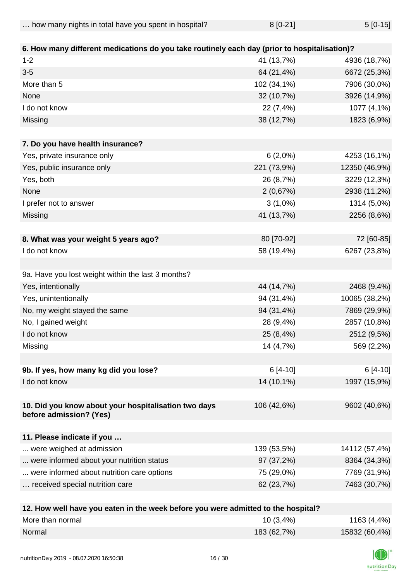| how many nights in total have you spent in hospital? | $5[0-15]$<br>$8[0-21]$ |  |
|------------------------------------------------------|------------------------|--|
|------------------------------------------------------|------------------------|--|

| 6. How many different medications do you take routinely each day (prior to hospitalisation)? |             |               |
|----------------------------------------------------------------------------------------------|-------------|---------------|
| $1 - 2$                                                                                      | 41 (13,7%)  | 4936 (18,7%)  |
| $3-5$                                                                                        | 64 (21,4%)  | 6672 (25,3%)  |
| More than 5                                                                                  | 102 (34,1%) | 7906 (30,0%)  |
| None                                                                                         | 32 (10,7%)  | 3926 (14,9%)  |
| I do not know                                                                                | 22 (7,4%)   | 1077 (4,1%)   |
| Missing                                                                                      | 38 (12,7%)  | 1823 (6,9%)   |
|                                                                                              |             |               |
| 7. Do you have health insurance?                                                             |             |               |
| Yes, private insurance only                                                                  | 6(2,0%)     | 4253 (16,1%)  |
| Yes, public insurance only                                                                   | 221 (73,9%) | 12350 (46,9%) |
| Yes, both                                                                                    | 26 (8,7%)   | 3229 (12,3%)  |
| None                                                                                         | 2(0,67%)    | 2938 (11,2%)  |
| I prefer not to answer                                                                       | $3(1,0\%)$  | 1314 (5,0%)   |
| Missing                                                                                      | 41 (13,7%)  | 2256 (8,6%)   |
|                                                                                              |             |               |
| 8. What was your weight 5 years ago?                                                         | 80 [70-92]  | 72 [60-85]    |
| I do not know                                                                                | 58 (19,4%)  | 6267 (23,8%)  |
|                                                                                              |             |               |
| 9a. Have you lost weight within the last 3 months?                                           |             |               |
| Yes, intentionally                                                                           | 44 (14,7%)  | 2468 (9,4%)   |
| Yes, unintentionally                                                                         | 94 (31,4%)  | 10065 (38,2%) |
| No, my weight stayed the same                                                                | 94 (31,4%)  | 7869 (29,9%)  |
| No, I gained weight                                                                          | 28 (9,4%)   | 2857 (10,8%)  |
| I do not know                                                                                | 25 (8,4%)   | 2512 (9,5%)   |
| Missing                                                                                      | 14 (4,7%)   | 569 (2,2%)    |
|                                                                                              |             |               |
| 9b. If yes, how many kg did you lose?                                                        | $6[4-10]$   | 6 [4-10]      |
| I do not know                                                                                | 14 (10,1%)  | 1997 (15,9%)  |
| 10. Did you know about your hospitalisation two days<br>before admission? (Yes)              | 106 (42,6%) | 9602 (40,6%)  |
| 11. Please indicate if you                                                                   |             |               |
| were weighed at admission                                                                    | 139 (53,5%) | 14112 (57,4%) |
| were informed about your nutrition status                                                    | 97 (37,2%)  | 8364 (34,3%)  |
| were informed about nutrition care options                                                   | 75 (29,0%)  | 7769 (31,9%)  |
| received special nutrition care                                                              | 62 (23,7%)  | 7463 (30,7%)  |
|                                                                                              |             |               |
|                                                                                              |             |               |

| 12. How well have you eaten in the week before you were admitted to the hospital? |             |               |
|-----------------------------------------------------------------------------------|-------------|---------------|
| More than normal                                                                  | 10(3,4%)    | 1163 (4,4%)   |
| Normal                                                                            | 183 (62,7%) | 15832 (60,4%) |

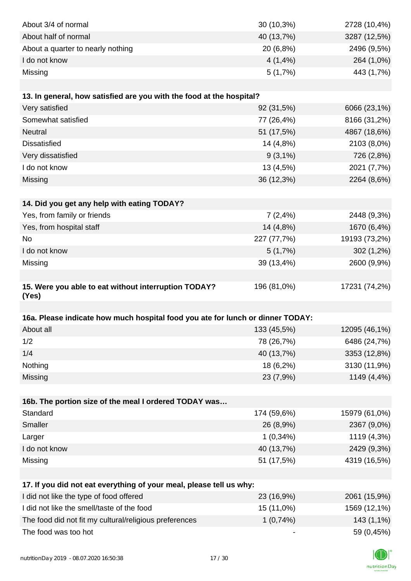| About 3/4 of normal                                                            | 30 (10,3%)  | 2728 (10,4%)  |
|--------------------------------------------------------------------------------|-------------|---------------|
| About half of normal                                                           | 40 (13,7%)  | 3287 (12,5%)  |
| About a quarter to nearly nothing                                              | 20 (6,8%)   | 2496 (9,5%)   |
| I do not know                                                                  | 4(1,4%      | 264 (1,0%)    |
| Missing                                                                        | 5(1,7%)     | 443 (1,7%)    |
|                                                                                |             |               |
| 13. In general, how satisfied are you with the food at the hospital?           |             |               |
| Very satisfied                                                                 | 92 (31,5%)  | 6066 (23,1%)  |
| Somewhat satisfied                                                             | 77 (26,4%)  | 8166 (31,2%)  |
| Neutral                                                                        | 51 (17,5%)  | 4867 (18,6%)  |
| <b>Dissatisfied</b>                                                            | 14 (4,8%)   | 2103 (8,0%)   |
| Very dissatisfied                                                              | $9(3,1\%)$  | 726 (2,8%)    |
| I do not know                                                                  | 13 (4,5%)   | 2021 (7,7%)   |
| Missing                                                                        | 36 (12,3%)  | 2264 (8,6%)   |
|                                                                                |             |               |
| 14. Did you get any help with eating TODAY?                                    |             |               |
| Yes, from family or friends                                                    | 7(2,4%      | 2448 (9,3%)   |
| Yes, from hospital staff                                                       | 14 (4,8%)   | 1670 (6,4%)   |
| <b>No</b>                                                                      | 227 (77,7%) | 19193 (73,2%) |
| I do not know                                                                  | 5(1,7%)     | 302 (1,2%)    |
| Missing                                                                        | 39 (13,4%)  | 2600 (9,9%)   |
|                                                                                |             |               |
| 15. Were you able to eat without interruption TODAY?<br>(Yes)                  | 196 (81,0%) | 17231 (74,2%) |
|                                                                                |             |               |
| 16a. Please indicate how much hospital food you ate for lunch or dinner TODAY: |             |               |
| About all                                                                      | 133 (45,5%) | 12095 (46,1%) |
| 1/2                                                                            | 78 (26,7%)  | 6486 (24,7%)  |
| 1/4                                                                            | 40 (13,7%)  | 3353 (12,8%)  |
| Nothing                                                                        | 18 (6,2%)   | 3130 (11,9%)  |
| Missing                                                                        | 23 (7,9%)   | 1149 (4,4%)   |
|                                                                                |             |               |
| 16b. The portion size of the meal I ordered TODAY was                          |             |               |
| Standard                                                                       | 174 (59,6%) | 15979 (61,0%) |
| Smaller                                                                        | 26 (8,9%)   | 2367 (9,0%)   |
| Larger                                                                         | $1(0,34\%)$ | 1119 (4,3%)   |
| I do not know                                                                  | 40 (13,7%)  | 2429 (9,3%)   |
| Missing                                                                        | 51 (17,5%)  | 4319 (16,5%)  |
|                                                                                |             |               |
| 17. If you did not eat everything of your meal, please tell us why:            |             |               |
| I did not like the type of food offered                                        | 23 (16,9%)  | 2061 (15,9%)  |
| I did not like the smell/taste of the food                                     | 15 (11,0%)  | 1569 (12,1%)  |
| The food did not fit my cultural/religious preferences                         | 1(0,74%)    | 143 (1,1%)    |
| The food was too hot                                                           |             | 59 (0,45%)    |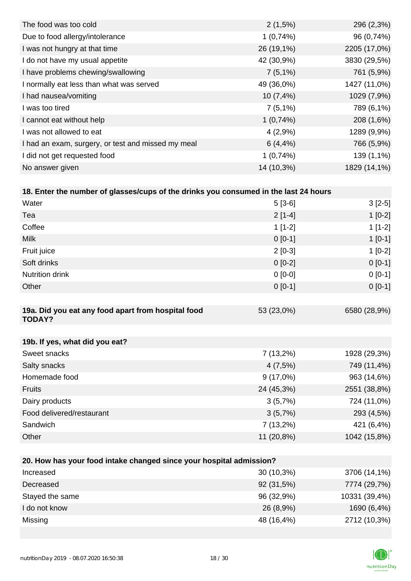| The food was too cold                              | $2(1,5\%)$  | 296 (2,3%)   |
|----------------------------------------------------|-------------|--------------|
| Due to food allergy/intolerance                    | 1(0,74%)    | 96 (0,74%)   |
| I was not hungry at that time                      | 26 (19,1%)  | 2205 (17,0%) |
| I do not have my usual appetite                    | 42 (30,9%)  | 3830 (29,5%) |
| I have problems chewing/swallowing                 | $7(5,1\%)$  | 761 (5,9%)   |
| I normally eat less than what was served           | 49 (36,0%)  | 1427 (11,0%) |
| I had nausea/vomiting                              | 10(7,4%     | 1029 (7,9%)  |
| I was too tired                                    | $7(5,1\%)$  | 789 (6,1%)   |
| I cannot eat without help                          | 1(0,74%)    | 208 (1,6%)   |
| I was not allowed to eat                           | 4(2,9%      | 1289 (9,9%)  |
| I had an exam, surgery, or test and missed my meal | $6(4, 4\%)$ | 766 (5,9%)   |
| I did not get requested food                       | 1(0,74%)    | 139 (1,1%)   |
| No answer given                                    | 14 (10,3%)  | 1829 (14,1%) |

| 18. Enter the number of glasses/cups of the drinks you consumed in the last 24 hours |           |           |
|--------------------------------------------------------------------------------------|-----------|-----------|
| Water                                                                                | $5[3-6]$  | $3[2-5]$  |
| Tea                                                                                  | $2[1-4]$  | $1$ [0-2] |
| Coffee                                                                               | $1$ [1-2] | $1$ [1-2] |
| <b>Milk</b>                                                                          | $0$ [0-1] | $1$ [0-1] |
| Fruit juice                                                                          | $2$ [0-3] | $1$ [0-2] |
| Soft drinks                                                                          | $0$ [0-2] | $0 [0-1]$ |

| <b>Nutrition drink</b>                                              | $0$ [0-0]   | $0[0-1]$     |
|---------------------------------------------------------------------|-------------|--------------|
| Other                                                               | $0 [0-1]$   | $0 [0-1]$    |
|                                                                     |             |              |
| 19a. Did you eat any food apart from hospital food<br><b>TODAY?</b> | 53 (23,0%)  | 6580 (28,9%) |
|                                                                     |             |              |
| 19b. If yes, what did you eat?                                      |             |              |
| Sweet snacks                                                        | $7(13,2\%)$ | 1928 (29,3%) |
| Salty snacks                                                        | 4(7,5%)     | 749 (11,4%)  |
| Homemade food                                                       | $9(17,0\%)$ | 963 (14,6%)  |
| <b>Fruits</b>                                                       | 24 (45,3%)  | 2551 (38,8%) |
| Dairy products                                                      | 3(5,7%)     | 724 (11,0%)  |
| Food delivered/restaurant                                           | 3(5,7%)     | 293 (4,5%)   |

| Other                                                               | $11(20,8\%)$ | 1042 (15,8%)  |
|---------------------------------------------------------------------|--------------|---------------|
|                                                                     |              |               |
|                                                                     |              |               |
| 20. How has your food intake changed since your hospital admission? |              |               |
| Increased                                                           | 30 (10,3%)   | 3706 (14,1%)  |
| Decreased                                                           | 92 (31,5%)   | 7774 (29,7%)  |
| Stayed the same                                                     | 96 (32,9%)   | 10331 (39,4%) |
| I do not know                                                       | 26 (8,9%)    | 1690 (6,4%)   |
| Missing                                                             | 48 (16,4%)   | 2712 (10,3%)  |
|                                                                     |              |               |

Sandwich 7 (13,2%) 421 (6,4%)

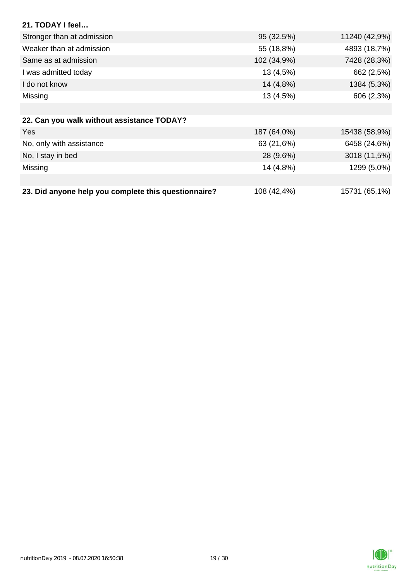| 21. TODAY I feel                                     |             |               |
|------------------------------------------------------|-------------|---------------|
| Stronger than at admission                           | 95 (32,5%)  | 11240 (42,9%) |
| Weaker than at admission                             | 55 (18,8%)  | 4893 (18,7%)  |
| Same as at admission                                 | 102 (34,9%) | 7428 (28,3%)  |
| I was admitted today                                 | 13 (4,5%)   | 662 (2,5%)    |
| I do not know                                        | 14 (4,8%)   | 1384 (5,3%)   |
| Missing                                              | 13 (4,5%)   | 606 (2,3%)    |
|                                                      |             |               |
| 22. Can you walk without assistance TODAY?           |             |               |
| Yes                                                  | 187 (64,0%) | 15438 (58,9%) |
| No, only with assistance                             | 63 (21,6%)  | 6458 (24,6%)  |
| No, I stay in bed                                    | 28 (9,6%)   | 3018 (11,5%)  |
| Missing                                              | 14 (4,8%)   | 1299 (5,0%)   |
|                                                      |             |               |
| 23. Did anyone help you complete this questionnaire? | 108 (42,4%) | 15731 (65,1%) |

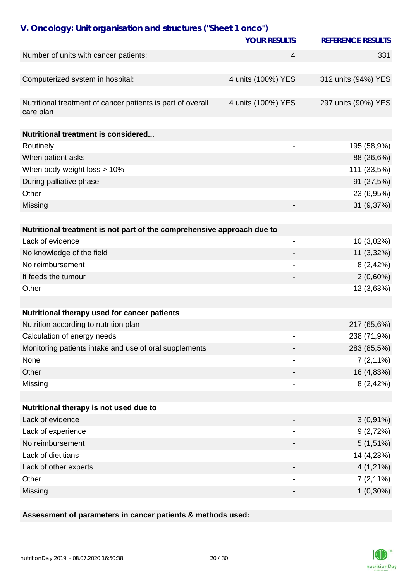| V. Oncology: Unit organisation and structures ("Sheet 1 onco")           | <b>YOUR RESULTS</b>      |                          |
|--------------------------------------------------------------------------|--------------------------|--------------------------|
|                                                                          |                          | <b>REFERENCE RESULTS</b> |
| Number of units with cancer patients:                                    | 4                        | 331                      |
| Computerized system in hospital:                                         | 4 units (100%) YES       | 312 units (94%) YES      |
|                                                                          |                          |                          |
| Nutritional treatment of cancer patients is part of overall<br>care plan | 4 units (100%) YES       | 297 units (90%) YES      |
| Nutritional treatment is considered                                      |                          |                          |
| Routinely                                                                |                          | 195 (58,9%)              |
| When patient asks                                                        |                          | 88 (26,6%)               |
| When body weight loss > 10%                                              |                          | 111 (33,5%)              |
| During palliative phase                                                  |                          | 91 (27,5%)               |
| Other                                                                    |                          | 23 (6,95%)               |
| Missing                                                                  |                          | 31 (9,37%)               |
|                                                                          |                          |                          |
| Nutritional treatment is not part of the comprehensive approach due to   |                          |                          |
| Lack of evidence                                                         | $\overline{\phantom{0}}$ | 10 (3,02%)               |
| No knowledge of the field                                                |                          | 11 (3,32%)               |
| No reimbursement                                                         |                          | 8(2,42%)                 |
| It feeds the tumour                                                      |                          | $2(0,60\%)$              |
| Other                                                                    |                          | 12 (3,63%)               |
| Nutritional therapy used for cancer patients                             |                          |                          |
| Nutrition according to nutrition plan                                    |                          | 217 (65,6%)              |
| Calculation of energy needs                                              |                          | 238 (71,9%)              |
|                                                                          |                          | 283 (85,5%)              |
| Monitoring patients intake and use of oral supplements<br>None           |                          |                          |
| Other                                                                    |                          | $7(2,11\%)$              |
| Missing                                                                  |                          | 16 (4,83%)<br>8(2,42%)   |
|                                                                          |                          |                          |
| Nutritional therapy is not used due to                                   |                          |                          |
| Lack of evidence                                                         |                          | $3(0,91\%)$              |
| Lack of experience                                                       |                          | 9(2,72%)                 |
| No reimbursement                                                         |                          | $5(1,51\%)$              |
| Lack of dietitians                                                       |                          | 14 (4,23%)               |
| Lack of other experts                                                    |                          | $4(1,21\%)$              |
| Other                                                                    |                          | $7(2,11\%)$              |
| Missing                                                                  |                          | $1(0,30\%)$              |

### **Assessment of parameters in cancer patients & methods used:**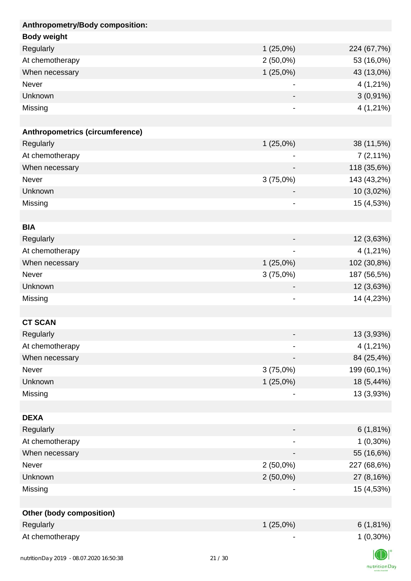| Anthropometry/Body composition:         |                              |             |
|-----------------------------------------|------------------------------|-------------|
| <b>Body weight</b>                      |                              |             |
| Regularly                               | 1(25,0%)                     | 224 (67,7%) |
| At chemotherapy                         | $2(50,0\%)$                  | 53 (16,0%)  |
| When necessary                          | 1(25,0%)                     | 43 (13,0%)  |
| Never                                   |                              | $4(1,21\%)$ |
| Unknown                                 |                              | $3(0,91\%)$ |
| Missing                                 | -                            | $4(1,21\%)$ |
|                                         |                              |             |
| Anthropometrics (circumference)         |                              |             |
| Regularly                               | $1(25,0\%)$                  | 38 (11,5%)  |
| At chemotherapy                         |                              | $7(2,11\%)$ |
| When necessary                          |                              | 118 (35,6%) |
| Never                                   | 3(75,0%)                     | 143 (43,2%) |
| Unknown                                 |                              | 10 (3,02%)  |
| Missing                                 | $\overline{a}$               | 15 (4,53%)  |
|                                         |                              |             |
| <b>BIA</b>                              |                              |             |
| Regularly                               |                              | 12 (3,63%)  |
| At chemotherapy                         | -                            | $4(1,21\%)$ |
| When necessary                          | $1(25,0\%)$                  | 102 (30,8%) |
| Never                                   | 3(75,0%)                     | 187 (56,5%) |
| Unknown                                 |                              | 12 (3,63%)  |
| Missing                                 | $\qquad \qquad \blacksquare$ | 14 (4,23%)  |
|                                         |                              |             |
| <b>CT SCAN</b>                          |                              |             |
| Regularly                               |                              | 13 (3,93%)  |
| At chemotherapy                         |                              | $4(1,21\%)$ |
| When necessary                          |                              | 84 (25,4%)  |
| Never                                   | 3(75,0%)                     | 199 (60,1%) |
| Unknown                                 | 1(25,0%)                     | 18 (5,44%)  |
| Missing                                 |                              | 13 (3,93%)  |
|                                         |                              |             |
| <b>DEXA</b>                             |                              |             |
| Regularly                               | -                            | $6(1,81\%)$ |
| At chemotherapy                         |                              | $1(0,30\%)$ |
| When necessary                          |                              | 55 (16,6%)  |
| Never                                   | $2(50,0\%)$                  | 227 (68,6%) |
| Unknown                                 | $2(50,0\%)$                  | 27 (8,16%)  |
| Missing                                 |                              | 15 (4,53%)  |
|                                         |                              |             |
| <b>Other (body composition)</b>         |                              |             |
| Regularly                               | $1(25,0\%)$                  | $6(1,81\%)$ |
| At chemotherapy                         |                              | $1(0,30\%)$ |
|                                         |                              |             |
| nutritionDay 2019 - 08.07.2020 16:50:38 | 21/30                        |             |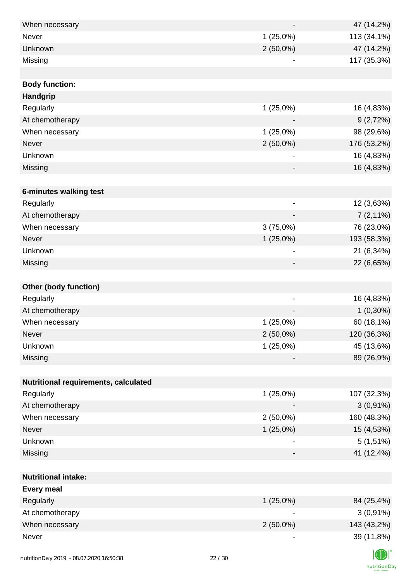| When necessary                         |       |                          | 47 (14,2%)  |
|----------------------------------------|-------|--------------------------|-------------|
| Never                                  |       | 1(25,0%)                 | 113 (34,1%) |
| Unknown                                |       | $2(50,0\%)$              | 47 (14,2%)  |
| Missing                                |       | -                        | 117 (35,3%) |
|                                        |       |                          |             |
| <b>Body function:</b>                  |       |                          |             |
| Handgrip                               |       |                          |             |
| Regularly                              |       | 1(25,0%)                 | 16 (4,83%)  |
| At chemotherapy                        |       |                          | 9(2,72%)    |
| When necessary                         |       | 1(25,0%)                 | 98 (29,6%)  |
| <b>Never</b>                           |       | $2(50,0\%)$              | 176 (53,2%) |
| Unknown                                |       |                          | 16 (4,83%)  |
| Missing                                |       |                          | 16 (4,83%)  |
|                                        |       |                          |             |
| 6-minutes walking test                 |       |                          |             |
| Regularly                              |       |                          | 12 (3,63%)  |
| At chemotherapy                        |       |                          | $7(2,11\%)$ |
| When necessary                         |       | 3(75,0%)                 | 76 (23,0%)  |
| <b>Never</b>                           |       | $1(25,0\%)$              | 193 (58,3%) |
| Unknown                                |       | $\overline{\phantom{a}}$ | 21 (6,34%)  |
| Missing                                |       | -                        | 22 (6,65%)  |
|                                        |       |                          |             |
| <b>Other (body function)</b>           |       |                          |             |
| Regularly                              |       | $\overline{\phantom{a}}$ | 16 (4,83%)  |
| At chemotherapy                        |       |                          | $1(0,30\%)$ |
| When necessary                         |       | $1(25,0\%)$              | 60 (18,1%)  |
| Never                                  |       | $2(50,0\%)$              | 120 (36,3%) |
| Unknown                                |       | 1(25,0%)                 | 45 (13,6%)  |
| Missing                                |       |                          | 89 (26,9%)  |
|                                        |       |                          |             |
| Nutritional requirements, calculated   |       |                          |             |
| Regularly                              |       | 1(25,0%)                 | 107 (32,3%) |
| At chemotherapy                        |       |                          | $3(0,91\%)$ |
| When necessary                         |       | $2(50,0\%)$              | 160 (48,3%) |
| Never                                  |       | $1(25,0\%)$              | 15 (4,53%)  |
| Unknown                                |       |                          | $5(1,51\%)$ |
| Missing                                |       |                          | 41 (12,4%)  |
|                                        |       |                          |             |
| <b>Nutritional intake:</b>             |       |                          |             |
| <b>Every meal</b>                      |       |                          |             |
| Regularly                              |       | 1(25,0%)                 | 84 (25,4%)  |
| At chemotherapy                        |       |                          | $3(0,91\%)$ |
| When necessary                         |       | $2(50,0\%)$              | 143 (43,2%) |
| Never                                  |       | -                        | 39 (11,8%)  |
|                                        |       |                          |             |
| nutrition Day 2010 08:07:2020 16:50:38 | 22/30 |                          |             |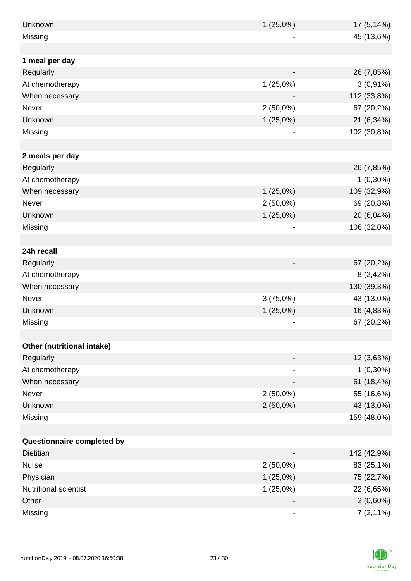| Unknown                    | 1(25,0%)    | 17 (5,14%)  |
|----------------------------|-------------|-------------|
| Missing                    |             | 45 (13,6%)  |
|                            |             |             |
| 1 meal per day             |             |             |
| Regularly                  |             | 26 (7,85%)  |
| At chemotherapy            | 1(25,0%)    | $3(0,91\%)$ |
| When necessary             |             | 112 (33,8%) |
| Never                      | $2(50,0\%)$ | 67 (20,2%)  |
| Unknown                    | 1(25,0%)    | 21 (6,34%)  |
| Missing                    |             | 102 (30,8%) |
|                            |             |             |
| 2 meals per day            |             |             |
| Regularly                  |             | 26 (7,85%)  |
| At chemotherapy            |             | $1(0,30\%)$ |
| When necessary             | $1(25,0\%)$ | 109 (32,9%) |
| Never                      | $2(50,0\%)$ | 69 (20,8%)  |
| Unknown                    | 1(25,0%)    | 20 (6,04%)  |
| Missing                    |             | 106 (32,0%) |
|                            |             |             |
| 24h recall                 |             |             |
| Regularly                  |             | 67 (20,2%)  |
| At chemotherapy            |             | 8(2,42%)    |
| When necessary             |             | 130 (39,3%) |
| Never                      | 3(75,0%)    | 43 (13,0%)  |
| Unknown                    | $1(25,0\%)$ | 16 (4,83%)  |
| Missing                    |             | 67 (20,2%)  |
|                            |             |             |
| Other (nutritional intake) |             |             |
| Regularly                  |             | 12 (3,63%)  |
| At chemotherapy            |             | $1(0,30\%)$ |
| When necessary             |             | 61 (18,4%)  |
| Never                      | $2(50,0\%)$ | 55 (16,6%)  |
| Unknown                    | $2(50,0\%)$ | 43 (13,0%)  |
| Missing                    |             | 159 (48,0%) |
|                            |             |             |
| Questionnaire completed by |             |             |
| <b>Dietitian</b>           |             | 142 (42,9%) |
| <b>Nurse</b>               | $2(50,0\%)$ | 83 (25,1%)  |
| Physician                  | 1(25,0%)    | 75 (22,7%)  |
| Nutritional scientist      | 1(25,0%)    | 22 (6,65%)  |
| Other                      |             | $2(0,60\%)$ |
| Missing                    | -           | $7(2,11\%)$ |

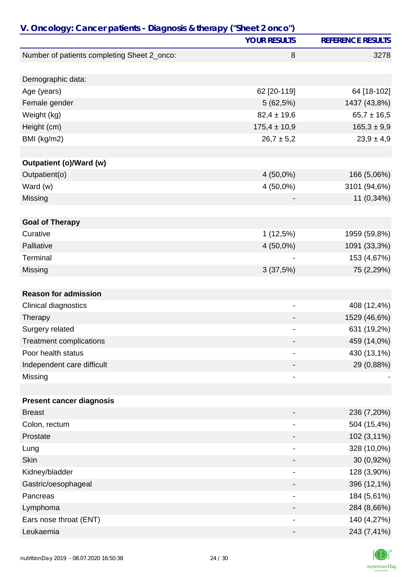| V. Oncology: Cancer patients - Diagnosis & therapy ("Sheet 2 onco") |                              |                          |
|---------------------------------------------------------------------|------------------------------|--------------------------|
|                                                                     | <b>YOUR RESULTS</b>          | <b>REFERENCE RESULTS</b> |
| Number of patients completing Sheet 2_onco:                         | 8                            | 3278                     |
|                                                                     |                              |                          |
| Demographic data:                                                   |                              |                          |
| Age (years)                                                         | 62 [20-119]                  | 64 [18-102]              |
| Female gender                                                       | 5(62,5%)                     | 1437 (43,8%)             |
| Weight (kg)                                                         | $82,4 \pm 19,6$              | $65,7 \pm 16,5$          |
| Height (cm)                                                         | $175,4 \pm 10,9$             | $165,3 \pm 9,9$          |
| BMI (kg/m2)                                                         | $26,7 \pm 5,2$               | $23,9 \pm 4,9$           |
|                                                                     |                              |                          |
| Outpatient (o)/Ward (w)                                             |                              |                          |
| Outpatient(o)                                                       | $4(50,0\%)$                  | 166 (5,06%)              |
| Ward (w)                                                            | 4 (50,0%)                    | 3101 (94,6%)             |
| Missing                                                             |                              | 11 (0,34%)               |
|                                                                     |                              |                          |
| <b>Goal of Therapy</b>                                              |                              |                          |
| Curative                                                            | 1(12,5%)                     | 1959 (59,8%)             |
| Palliative                                                          | $4(50,0\%)$                  | 1091 (33,3%)             |
| Terminal                                                            |                              | 153 (4,67%)              |
| Missing                                                             | 3(37,5%)                     | 75 (2,29%)               |
|                                                                     |                              |                          |
| <b>Reason for admission</b>                                         |                              |                          |
| Clinical diagnostics                                                | -                            | 408 (12,4%)              |
| Therapy                                                             |                              | 1529 (46,6%)             |
| Surgery related                                                     |                              | 631 (19,2%)              |
| <b>Treatment complications</b>                                      |                              | 459 (14,0%)              |
| Poor health status                                                  | $\overline{\phantom{0}}$     | 430 (13,1%)              |
| Independent care difficult                                          |                              | 29 (0,88%)               |
| Missing                                                             |                              |                          |
|                                                                     |                              |                          |
| <b>Present cancer diagnosis</b>                                     |                              |                          |
| <b>Breast</b>                                                       |                              | 236 (7,20%)              |
| Colon, rectum                                                       |                              | 504 (15,4%)              |
| Prostate                                                            |                              | 102 (3,11%)              |
| Lung                                                                | $\qquad \qquad \blacksquare$ | 328 (10,0%)              |
| <b>Skin</b>                                                         |                              | 30 (0,92%)               |
| Kidney/bladder                                                      |                              | 128 (3,90%)              |
| Gastric/oesophageal                                                 |                              | 396 (12,1%)              |
| Pancreas                                                            |                              | 184 (5,61%)              |
| Lymphoma                                                            |                              | 284 (8,66%)              |
| Ears nose throat (ENT)                                              |                              | 140 (4,27%)              |
| Leukaemia                                                           |                              | 243 (7,41%)              |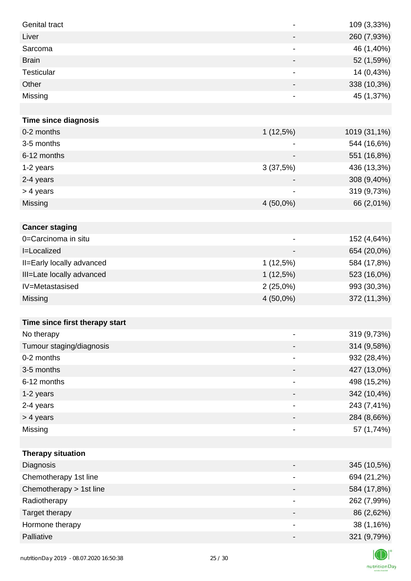| <b>Genital tract</b>           |                          | 109 (3,33%)  |
|--------------------------------|--------------------------|--------------|
| Liver                          |                          | 260 (7,93%)  |
| Sarcoma                        |                          | 46 (1,40%)   |
| <b>Brain</b>                   | $\overline{\phantom{a}}$ | 52 (1,59%)   |
| <b>Testicular</b>              |                          | 14 (0,43%)   |
| Other                          |                          | 338 (10,3%)  |
| Missing                        |                          | 45 (1,37%)   |
|                                |                          |              |
| <b>Time since diagnosis</b>    |                          |              |
| 0-2 months                     | 1(12,5%)                 | 1019 (31,1%) |
| 3-5 months                     |                          | 544 (16,6%)  |
| 6-12 months                    |                          | 551 (16,8%)  |
| 1-2 years                      | 3(37,5%)                 | 436 (13,3%)  |
| 2-4 years                      |                          | 308 (9,40%)  |
| > 4 years                      |                          | 319 (9,73%)  |
| Missing                        | 4 (50,0%)                | 66 (2,01%)   |
|                                |                          |              |
| <b>Cancer staging</b>          |                          |              |
| 0=Carcinoma in situ            | $\overline{a}$           | 152 (4,64%)  |
| I=Localized                    |                          | 654 (20,0%)  |
| II=Early locally advanced      | 1(12,5%)                 | 584 (17,8%)  |
| III=Late locally advanced      | 1(12,5%)                 | 523 (16,0%)  |
| IV=Metastasised                | 2(25,0%)                 | 993 (30,3%)  |
| Missing                        | 4 (50,0%)                | 372 (11,3%)  |
|                                |                          |              |
| Time since first therapy start |                          |              |
| No therapy                     |                          | 319 (9,73%)  |
| Tumour staging/diagnosis       |                          | 314 (9,58%)  |
| 0-2 months                     |                          | 932 (28,4%)  |
| 3-5 months                     |                          | 427 (13,0%)  |
| 6-12 months                    |                          | 498 (15,2%)  |
| 1-2 years                      |                          | 342 (10,4%)  |
| 2-4 years                      | $\overline{\phantom{a}}$ | 243 (7,41%)  |
| > 4 years                      |                          | 284 (8,66%)  |
| Missing                        | $\overline{\phantom{a}}$ | 57 (1,74%)   |
|                                |                          |              |
| <b>Therapy situation</b>       |                          |              |
| Diagnosis                      |                          | 345 (10,5%)  |
| Chemotherapy 1st line          |                          | 694 (21,2%)  |
| Chemotherapy > 1st line        |                          | 584 (17,8%)  |
| Radiotherapy                   | $\overline{\phantom{a}}$ | 262 (7,99%)  |
| Target therapy                 |                          | 86 (2,62%)   |
| Hormone therapy                | $\overline{\phantom{a}}$ | 38 (1,16%)   |
| Palliative                     | $\overline{\phantom{a}}$ | 321 (9,79%)  |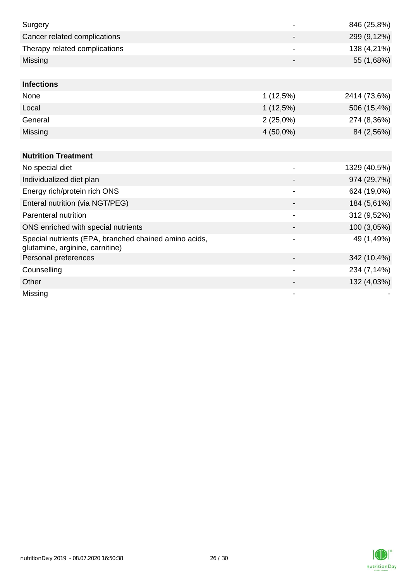| Surgery                                                                                  |                          | 846 (25,8%)  |
|------------------------------------------------------------------------------------------|--------------------------|--------------|
| Cancer related complications                                                             |                          | 299 (9,12%)  |
| Therapy related complications                                                            |                          | 138 (4,21%)  |
| Missing                                                                                  |                          | 55 (1,68%)   |
|                                                                                          |                          |              |
| <b>Infections</b>                                                                        |                          |              |
| None                                                                                     | 1(12,5%)                 | 2414 (73,6%) |
| Local                                                                                    | $1(12,5\%)$              | 506 (15,4%)  |
| General                                                                                  | 2(25,0%)                 | 274 (8,36%)  |
| Missing                                                                                  | 4 (50,0%)                | 84 (2,56%)   |
|                                                                                          |                          |              |
| <b>Nutrition Treatment</b>                                                               |                          |              |
| No special diet                                                                          |                          | 1329 (40,5%) |
| Individualized diet plan                                                                 |                          | 974 (29,7%)  |
| Energy rich/protein rich ONS                                                             | $\blacksquare$           | 624 (19,0%)  |
| Enteral nutrition (via NGT/PEG)                                                          |                          | 184 (5,61%)  |
| Parenteral nutrition                                                                     |                          | 312 (9,52%)  |
| ONS enriched with special nutrients                                                      |                          | 100 (3,05%)  |
| Special nutrients (EPA, branched chained amino acids,<br>glutamine, arginine, carnitine) |                          | 49 (1,49%)   |
| Personal preferences                                                                     |                          | 342 (10,4%)  |
| Counselling                                                                              | $\overline{\phantom{a}}$ | 234 (7,14%)  |
| Other                                                                                    |                          | 132 (4,03%)  |
| Missing                                                                                  |                          |              |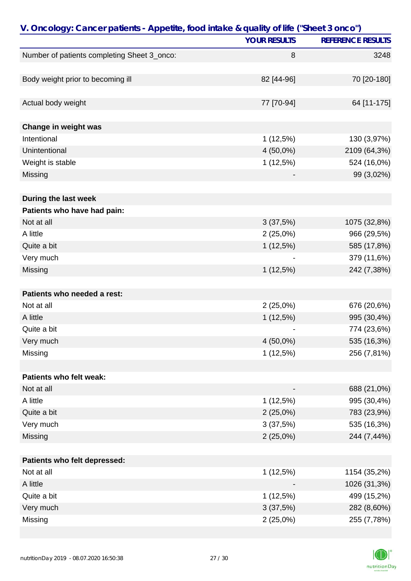| V. Oncology: Cancer patients - Appetite, food intake & quality of life ("Sheet 3 onco") |                     |                          |
|-----------------------------------------------------------------------------------------|---------------------|--------------------------|
|                                                                                         | <b>YOUR RESULTS</b> | <b>REFERENCE RESULTS</b> |
| Number of patients completing Sheet 3_onco:                                             | 8                   | 3248                     |
|                                                                                         |                     |                          |
| Body weight prior to becoming ill                                                       | 82 [44-96]          | 70 [20-180]              |
|                                                                                         |                     |                          |
| Actual body weight                                                                      | 77 [70-94]          | 64 [11-175]              |
|                                                                                         |                     |                          |
| Change in weight was                                                                    |                     |                          |
| Intentional                                                                             | 1(12,5%)            | 130 (3,97%)              |
| Unintentional                                                                           | $4(50,0\%)$         | 2109 (64,3%)             |
| Weight is stable                                                                        | 1(12,5%)            | 524 (16,0%)              |
| Missing                                                                                 |                     | 99 (3,02%)               |
|                                                                                         |                     |                          |
| During the last week                                                                    |                     |                          |
| Patients who have had pain:                                                             |                     |                          |
| Not at all                                                                              | 3(37,5%)            | 1075 (32,8%)             |
| A little                                                                                | 2(25,0%)            | 966 (29,5%)              |
| Quite a bit                                                                             | $1(12,5\%)$         | 585 (17,8%)              |
| Very much                                                                               |                     | 379 (11,6%)              |
| Missing                                                                                 | 1(12,5%)            | 242 (7,38%)              |
|                                                                                         |                     |                          |
| Patients who needed a rest:                                                             |                     |                          |
| Not at all                                                                              | 2(25,0%)            | 676 (20,6%)              |
| A little                                                                                | 1(12,5%)            | 995 (30,4%)              |
| Quite a bit                                                                             |                     | 774 (23,6%)              |
| Very much                                                                               | $4(50,0\%)$         | 535 (16,3%)              |
| Missing                                                                                 | 1(12,5%)            | 256 (7,81%)              |
|                                                                                         |                     |                          |
| Patients who felt weak:                                                                 |                     |                          |
| Not at all                                                                              |                     | 688 (21,0%)              |
| A little                                                                                | 1(12,5%)            | 995 (30,4%)              |
| Quite a bit                                                                             | $2(25,0\%)$         | 783 (23,9%)              |
| Very much                                                                               | 3(37,5%)            | 535 (16,3%)              |
| Missing                                                                                 | $2(25,0\%)$         | 244 (7,44%)              |
|                                                                                         |                     |                          |
| Patients who felt depressed:                                                            |                     |                          |
| Not at all                                                                              | 1(12,5%)            | 1154 (35,2%)             |
| A little                                                                                |                     | 1026 (31,3%)             |
| Quite a bit                                                                             | 1(12,5%)            | 499 (15,2%)              |
| Very much                                                                               | 3(37,5%)            | 282 (8,60%)              |
| Missing                                                                                 | 2(25,0%)            | 255 (7,78%)              |

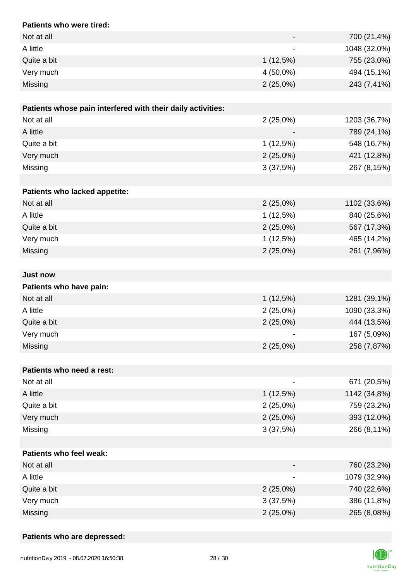| Patients who were tired:                                    |                          |              |
|-------------------------------------------------------------|--------------------------|--------------|
| Not at all                                                  |                          | 700 (21,4%)  |
| A little                                                    | $\overline{\phantom{0}}$ | 1048 (32,0%) |
| Quite a bit                                                 | 1(12,5%)                 | 755 (23,0%)  |
| Very much                                                   | 4 (50,0%)                | 494 (15,1%)  |
| Missing                                                     | $2(25,0\%)$              | 243 (7,41%)  |
|                                                             |                          |              |
| Patients whose pain interfered with their daily activities: |                          |              |
| Not at all                                                  | $2(25,0\%)$              | 1203 (36,7%) |
| A little                                                    |                          | 789 (24,1%)  |
| Quite a bit                                                 | $1(12,5\%)$              | 548 (16,7%)  |
| Very much                                                   | 2(25,0%)                 | 421 (12,8%)  |
| Missing                                                     | 3(37,5%)                 | 267 (8,15%)  |
|                                                             |                          |              |
| Patients who lacked appetite:                               |                          |              |
| Not at all                                                  | 2(25,0%)                 | 1102 (33,6%) |
| A little                                                    | 1(12,5%)                 | 840 (25,6%)  |
| Quite a bit                                                 | 2(25,0%)                 | 567 (17,3%)  |
| Very much                                                   | 1(12,5%)                 | 465 (14,2%)  |
| Missing                                                     | 2(25,0%)                 | 261 (7,96%)  |
|                                                             |                          |              |
| <b>Just now</b>                                             |                          |              |
| Patients who have pain:                                     |                          |              |
| Not at all                                                  | 1(12,5%)                 | 1281 (39,1%) |
| A little                                                    | 2(25,0%)                 | 1090 (33,3%) |
| Quite a bit                                                 | $2(25,0\%)$              | 444 (13,5%)  |
| Very much                                                   | ۰                        | 167 (5,09%)  |
| Missing                                                     | 2(25,0%)                 | 258 (7,87%)  |
|                                                             |                          |              |
| Patients who need a rest:                                   |                          |              |
| Not at all                                                  |                          | 671 (20,5%)  |
| A little                                                    | $1(12,5\%)$              | 1142 (34,8%) |
| Quite a bit                                                 | 2(25,0%)                 | 759 (23,2%)  |
| Very much                                                   | 2(25,0%)                 | 393 (12,0%)  |
| Missing                                                     | 3(37,5%)                 | 266 (8,11%)  |
|                                                             |                          |              |
| <b>Patients who feel weak:</b>                              |                          |              |
| Not at all                                                  |                          | 760 (23,2%)  |
| A little                                                    |                          | 1079 (32,9%) |
| Quite a bit                                                 | 2(25,0%)                 | 740 (22,6%)  |
| Very much                                                   | 3(37,5%)                 | 386 (11,8%)  |
| Missing                                                     | 2(25,0%)                 | 265 (8,08%)  |

### **Patients who are depressed:**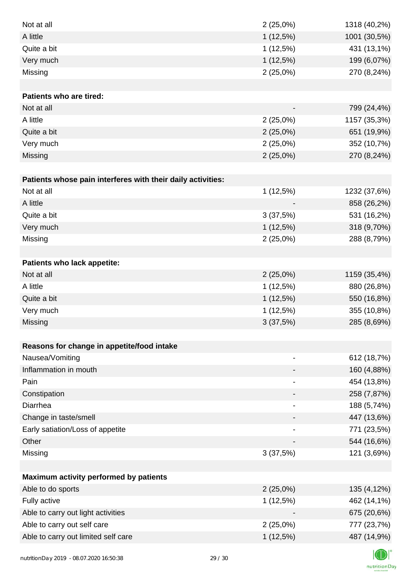| Not at all                                                  | $2(25,0\%)$                  | 1318 (40,2%) |
|-------------------------------------------------------------|------------------------------|--------------|
| A little                                                    | 1(12,5%)                     | 1001 (30,5%) |
| Quite a bit                                                 | 1(12,5%)                     | 431 (13,1%)  |
| Very much                                                   | 1(12,5%)                     | 199 (6,07%)  |
| Missing                                                     | 2(25,0%)                     | 270 (8,24%)  |
|                                                             |                              |              |
| Patients who are tired:                                     |                              |              |
| Not at all                                                  |                              | 799 (24,4%)  |
| A little                                                    | $2(25,0\%)$                  | 1157 (35,3%) |
| Quite a bit                                                 | $2(25,0\%)$                  | 651 (19,9%)  |
| Very much                                                   | 2(25,0%)                     | 352 (10,7%)  |
| Missing                                                     | $2(25,0\%)$                  | 270 (8,24%)  |
|                                                             |                              |              |
| Patients whose pain interferes with their daily activities: |                              |              |
| Not at all                                                  | 1(12,5%)                     | 1232 (37,6%) |
| A little                                                    |                              | 858 (26,2%)  |
| Quite a bit                                                 | 3(37,5%)                     | 531 (16,2%)  |
| Very much                                                   | 1(12,5%)                     | 318 (9,70%)  |
| Missing                                                     | 2(25,0%)                     | 288 (8,79%)  |
|                                                             |                              |              |
| Patients who lack appetite:                                 |                              |              |
| Not at all                                                  | $2(25,0\%)$                  | 1159 (35,4%) |
| A little                                                    | 1(12,5%)                     | 880 (26,8%)  |
| Quite a bit                                                 | 1(12,5%)                     | 550 (16,8%)  |
| Very much                                                   | 1(12,5%)                     | 355 (10,8%)  |
| Missing                                                     | 3(37,5%)                     | 285 (8,69%)  |
|                                                             |                              |              |
| Reasons for change in appetite/food intake                  |                              |              |
| Nausea/Vomiting                                             |                              | 612 (18,7%)  |
| Inflammation in mouth                                       |                              | 160 (4,88%)  |
| Pain                                                        | $\overline{\phantom{a}}$     | 454 (13,8%)  |
| Constipation                                                |                              | 258 (7,87%)  |
| Diarrhea                                                    | $\qquad \qquad \blacksquare$ | 188 (5,74%)  |
| Change in taste/smell                                       |                              | 447 (13,6%)  |
| Early satiation/Loss of appetite                            |                              | 771 (23,5%)  |
| Other                                                       |                              | 544 (16,6%)  |
| Missing                                                     | 3(37,5%)                     | 121 (3,69%)  |
|                                                             |                              |              |
| Maximum activity performed by patients                      |                              |              |
| Able to do sports                                           | $2(25,0\%)$                  | 135 (4,12%)  |
| Fully active                                                | 1(12,5%)                     | 462 (14,1%)  |
| Able to carry out light activities                          |                              | 675 (20,6%)  |
| Able to carry out self care                                 | $2(25,0\%)$                  | 777 (23,7%)  |
| Able to carry out limited self care                         | 1(12,5%)                     | 487 (14,9%)  |